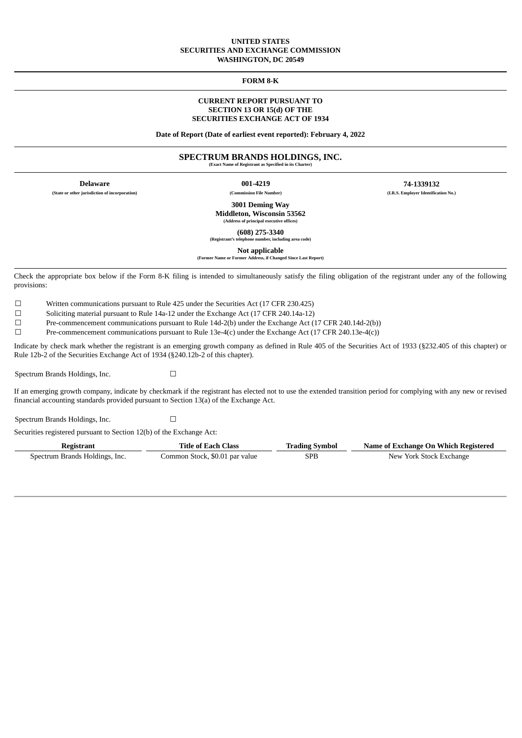### **UNITED STATES SECURITIES AND EXCHANGE COMMISSION WASHINGTON, DC 20549**

**FORM 8-K**

### **CURRENT REPORT PURSUANT TO SECTION 13 OR 15(d) OF THE SECURITIES EXCHANGE ACT OF 1934**

**Date of Report (Date of earliest event reported): February 4, 2022**

### **SPECTRUM BRANDS HOLDINGS, INC.**

**(Exact Name of Registrant as Specified in its Charter)**

**Delaware 001-4219 74-1339132 (State or other jurisdiction of incorporation) (Commission File Number) (I.R.S. Employer Identification No.)**

> **3001 Deming Way Middleton, Wisconsin 53562 (Address of principal executive offices)**

**(608) 275-3340**

**(Registrant's telephone number, including area code)**

**Not applicable (Former Name or Former Address, if Changed Since Last Report)**

Check the appropriate box below if the Form 8-K filing is intended to simultaneously satisfy the filing obligation of the registrant under any of the following provisions:

☐ Written communications pursuant to Rule 425 under the Securities Act (17 CFR 230.425)

<del>□</del> Soliciting material pursuant to Rule 14a-12 under the Exchange Act (17 CFR 240.14a-12)<br>
Pre-commencement communications pursuant to Rule 14d-2(h) under the Exchange Act (1

Pre-commencement communications pursuant to Rule 14d-2(b) under the Exchange Act (17 CFR 240.14d-2(b))

☐ Pre-commencement communications pursuant to Rule 13e-4(c) under the Exchange Act (17 CFR 240.13e-4(c))

Indicate by check mark whether the registrant is an emerging growth company as defined in Rule 405 of the Securities Act of 1933 (§232.405 of this chapter) or Rule 12b-2 of the Securities Exchange Act of 1934 (§240.12b-2 of this chapter).

Spectrum Brands Holdings, Inc.  $□$ 

If an emerging growth company, indicate by checkmark if the registrant has elected not to use the extended transition period for complying with any new or revised financial accounting standards provided pursuant to Section 13(a) of the Exchange Act.

Spectrum Brands Holdings, Inc. □

Securities registered pursuant to Section 12(b) of the Exchange Act:

| Registrant                     | Title of Each Class            | Frading Svmbol | Name of Exchange On Which Registered |  |  |  |  |  |
|--------------------------------|--------------------------------|----------------|--------------------------------------|--|--|--|--|--|
| Spectrum Brands Holdings, Inc. | Common Stock, \$0.01 par value | SPB            | New York Stock Exchange              |  |  |  |  |  |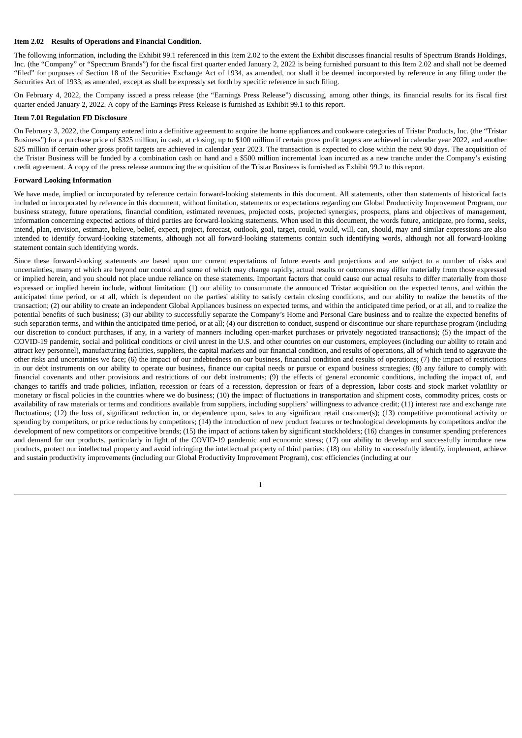### **Item 2.02 Results of Operations and Financial Condition.**

The following information, including the Exhibit 99.1 referenced in this Item 2.02 to the extent the Exhibit discusses financial results of Spectrum Brands Holdings, Inc. (the "Company" or "Spectrum Brands") for the fiscal first quarter ended January 2, 2022 is being furnished pursuant to this Item 2.02 and shall not be deemed "filed" for purposes of Section 18 of the Securities Exchange Act of 1934, as amended, nor shall it be deemed incorporated by reference in any filing under the Securities Act of 1933, as amended, except as shall be expressly set forth by specific reference in such filing.

On February 4, 2022, the Company issued a press release (the "Earnings Press Release") discussing, among other things, its financial results for its fiscal first quarter ended January 2, 2022. A copy of the Earnings Press Release is furnished as Exhibit 99.1 to this report.

### **Item 7.01 Regulation FD Disclosure**

On February 3, 2022, the Company entered into a definitive agreement to acquire the home appliances and cookware categories of Tristar Products, Inc. (the "Tristar Business") for a purchase price of \$325 million, in cash, at closing, up to \$100 million if certain gross profit targets are achieved in calendar year 2022, and another \$25 million if certain other gross profit targets are achieved in calendar year 2023. The transaction is expected to close within the next 90 days. The acquisition of the Tristar Business will be funded by a combination cash on hand and a \$500 million incremental loan incurred as a new tranche under the Company's existing credit agreement. A copy of the press release announcing the acquisition of the Tristar Business is furnished as Exhibit 99.2 to this report.

### **Forward Looking Information**

We have made, implied or incorporated by reference certain forward-looking statements in this document. All statements, other than statements of historical facts included or incorporated by reference in this document, without limitation, statements or expectations regarding our Global Productivity Improvement Program, our business strategy, future operations, financial condition, estimated revenues, projected costs, projected synergies, prospects, plans and objectives of management, information concerning expected actions of third parties are forward-looking statements. When used in this document, the words future, anticipate, pro forma, seeks, intend, plan, envision, estimate, believe, belief, expect, project, forecast, outlook, goal, target, could, would, will, can, should, may and similar expressions are also intended to identify forward-looking statements, although not all forward-looking statements contain such identifying words, although not all forward-looking statement contain such identifying words.

Since these forward-looking statements are based upon our current expectations of future events and projections and are subject to a number of risks and uncertainties, many of which are beyond our control and some of which may change rapidly, actual results or outcomes may differ materially from those expressed or implied herein, and you should not place undue reliance on these statements. Important factors that could cause our actual results to differ materially from those expressed or implied herein include, without limitation: (1) our ability to consummate the announced Tristar acquisition on the expected terms, and within the anticipated time period, or at all, which is dependent on the parties' ability to satisfy certain closing conditions, and our ability to realize the benefits of the transaction; (2) our ability to create an independent Global Appliances business on expected terms, and within the anticipated time period, or at all, and to realize the potential benefits of such business; (3) our ability to successfully separate the Company's Home and Personal Care business and to realize the expected benefits of such separation terms, and within the anticipated time period, or at all; (4) our discretion to conduct, suspend or discontinue our share repurchase program (including our discretion to conduct purchases, if any, in a variety of manners including open-market purchases or privately negotiated transactions); (5) the impact of the COVID-19 pandemic, social and political conditions or civil unrest in the U.S. and other countries on our customers, employees (including our ability to retain and attract key personnel), manufacturing facilities, suppliers, the capital markets and our financial condition, and results of operations, all of which tend to aggravate the other risks and uncertainties we face; (6) the impact of our indebtedness on our business, financial condition and results of operations; (7) the impact of restrictions in our debt instruments on our ability to operate our business, finance our capital needs or pursue or expand business strategies; (8) any failure to comply with financial covenants and other provisions and restrictions of our debt instruments; (9) the effects of general economic conditions, including the impact of, and changes to tariffs and trade policies, inflation, recession or fears of a recession, depression or fears of a depression, labor costs and stock market volatility or monetary or fiscal policies in the countries where we do business; (10) the impact of fluctuations in transportation and shipment costs, commodity prices, costs or availability of raw materials or terms and conditions available from suppliers, including suppliers' willingness to advance credit; (11) interest rate and exchange rate fluctuations; (12) the loss of, significant reduction in, or dependence upon, sales to any significant retail customer(s); (13) competitive promotional activity or spending by competitors, or price reductions by competitors; (14) the introduction of new product features or technological developments by competitors and/or the development of new competitors or competitive brands; (15) the impact of actions taken by significant stockholders; (16) changes in consumer spending preferences and demand for our products, particularly in light of the COVID-19 pandemic and economic stress; (17) our ability to develop and successfully introduce new products, protect our intellectual property and avoid infringing the intellectual property of third parties; (18) our ability to successfully identify, implement, achieve and sustain productivity improvements (including our Global Productivity Improvement Program), cost efficiencies (including at our

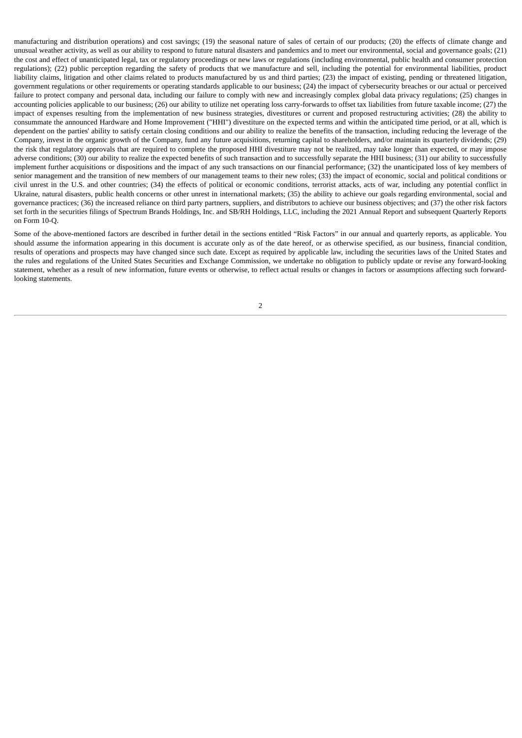manufacturing and distribution operations) and cost savings; (19) the seasonal nature of sales of certain of our products; (20) the effects of climate change and unusual weather activity, as well as our ability to respond to future natural disasters and pandemics and to meet our environmental, social and governance goals; (21) the cost and effect of unanticipated legal, tax or regulatory proceedings or new laws or regulations (including environmental, public health and consumer protection regulations); (22) public perception regarding the safety of products that we manufacture and sell, including the potential for environmental liabilities, product liability claims, litigation and other claims related to products manufactured by us and third parties; (23) the impact of existing, pending or threatened litigation, government regulations or other requirements or operating standards applicable to our business; (24) the impact of cybersecurity breaches or our actual or perceived failure to protect company and personal data, including our failure to comply with new and increasingly complex global data privacy regulations; (25) changes in accounting policies applicable to our business; (26) our ability to utilize net operating loss carry-forwards to offset tax liabilities from future taxable income; (27) the impact of expenses resulting from the implementation of new business strategies, divestitures or current and proposed restructuring activities; (28) the ability to consummate the announced Hardware and Home Improvement ("HHI") divestiture on the expected terms and within the anticipated time period, or at all, which is dependent on the parties' ability to satisfy certain closing conditions and our ability to realize the benefits of the transaction, including reducing the leverage of the Company, invest in the organic growth of the Company, fund any future acquisitions, returning capital to shareholders, and/or maintain its quarterly dividends; (29) the risk that regulatory approvals that are required to complete the proposed HHI divestiture may not be realized, may take longer than expected, or may impose adverse conditions; (30) our ability to realize the expected benefits of such transaction and to successfully separate the HHI business; (31) our ability to successfully implement further acquisitions or dispositions and the impact of any such transactions on our financial performance; (32) the unanticipated loss of key members of senior management and the transition of new members of our management teams to their new roles; (33) the impact of economic, social and political conditions or civil unrest in the U.S. and other countries; (34) the effects of political or economic conditions, terrorist attacks, acts of war, including any potential conflict in Ukraine, natural disasters, public health concerns or other unrest in international markets; (35) the ability to achieve our goals regarding environmental, social and governance practices; (36) the increased reliance on third party partners, suppliers, and distributors to achieve our business objectives; and (37) the other risk factors set forth in the securities filings of Spectrum Brands Holdings, Inc. and SB/RH Holdings, LLC, including the 2021 Annual Report and subsequent Quarterly Reports on Form 10-Q.

Some of the above-mentioned factors are described in further detail in the sections entitled "Risk Factors" in our annual and quarterly reports, as applicable. You should assume the information appearing in this document is accurate only as of the date hereof, or as otherwise specified, as our business, financial condition, results of operations and prospects may have changed since such date. Except as required by applicable law, including the securities laws of the United States and the rules and regulations of the United States Securities and Exchange Commission, we undertake no obligation to publicly update or revise any forward-looking statement, whether as a result of new information, future events or otherwise, to reflect actual results or changes in factors or assumptions affecting such forwardlooking statements.

2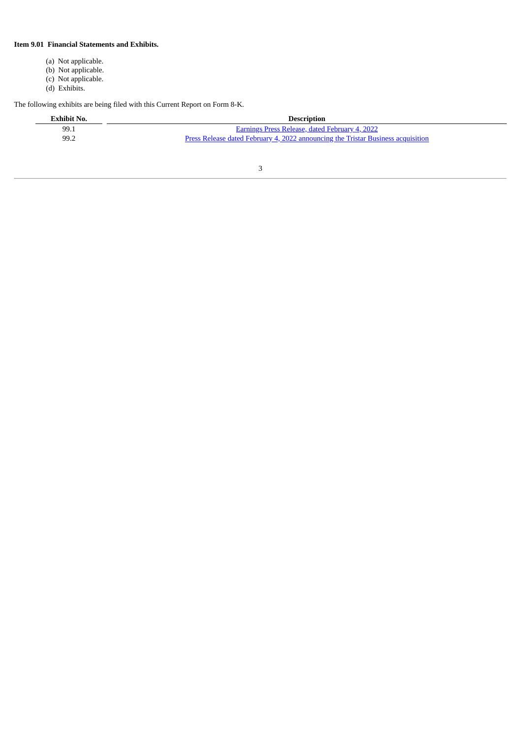### **Item 9.01 Financial Statements and Exhibits.**

- (a) Not applicable.
- (b) Not applicable.
- (c) Not applicable.
- (d) Exhibits.

The following exhibits are being filed with this Current Report on Form 8-K.

| Exhibit No. | <b>Description</b>                                                                      |
|-------------|-----------------------------------------------------------------------------------------|
| 99.1        | Earnings Press Release, dated February 4, 2022                                          |
| 99.2        | <u>Press Release dated February 4, 2022 announcing the Tristar Business acquisition</u> |

3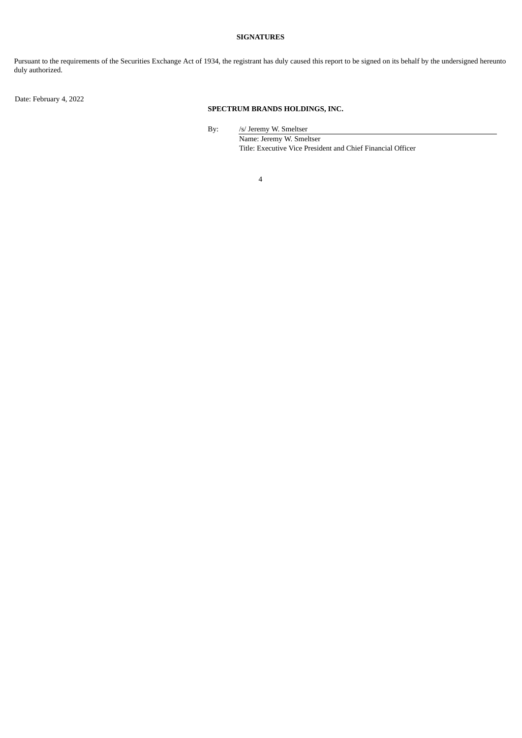### **SIGNATURES**

Pursuant to the requirements of the Securities Exchange Act of 1934, the registrant has duly caused this report to be signed on its behalf by the undersigned hereunto duly authorized.

Date: February 4, 2022

### **SPECTRUM BRANDS HOLDINGS, INC.**

By: /s/ Jeremy W. Smeltser

Name: Jeremy W. Smeltser Title: Executive Vice President and Chief Financial Officer

4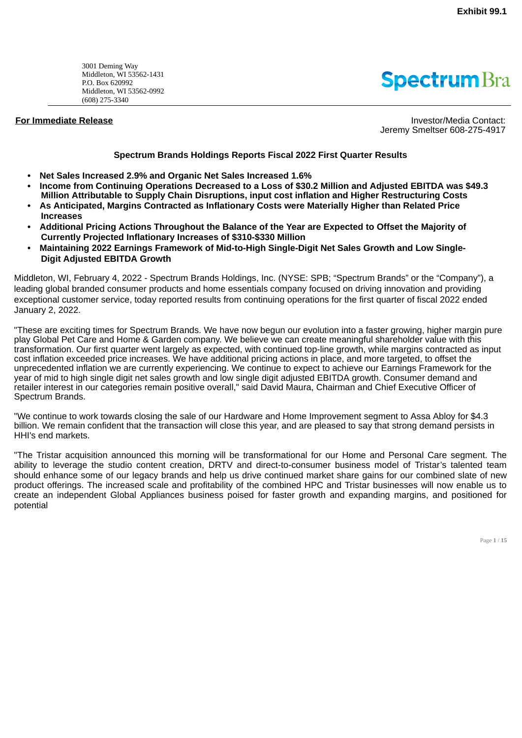<span id="page-5-0"></span>3001 Deming Way Middleton, WI 53562-1431 P.O. Box 620992 Middleton, WI 53562-0992 (608) 275-3340

## **Spectrum** Bra

**For Immediate Release Investor/Media Contact: Investor/Media Contact:** Jeremy Smeltser 608-275-4917

### **Spectrum Brands Holdings Reports Fiscal 2022 First Quarter Results**

- **• Net Sales Increased 2.9% and Organic Net Sales Increased 1.6%**
- **• Income from Continuing Operations Decreased to a Loss of \$30.2 Million and Adjusted EBITDA was \$49.3 Million Attributable to Supply Chain Disruptions, input cost inflation and Higher Restructuring Costs**
- **• As Anticipated, Margins Contracted as Inflationary Costs were Materially Higher than Related Price Increases**
- **• Additional Pricing Actions Throughout the Balance of the Year are Expected to Offset the Majority of Currently Projected Inflationary Increases of \$310-\$330 Million**
- **• Maintaining 2022 Earnings Framework of Mid-to-High Single-Digit Net Sales Growth and Low Single-Digit Adjusted EBITDA Growth**

Middleton, WI, February 4, 2022 - Spectrum Brands Holdings, Inc. (NYSE: SPB; "Spectrum Brands" or the "Company"), a leading global branded consumer products and home essentials company focused on driving innovation and providing exceptional customer service, today reported results from continuing operations for the first quarter of fiscal 2022 ended January 2, 2022.

"These are exciting times for Spectrum Brands. We have now begun our evolution into a faster growing, higher margin pure play Global Pet Care and Home & Garden company. We believe we can create meaningful shareholder value with this transformation. Our first quarter went largely as expected, with continued top-line growth, while margins contracted as input cost inflation exceeded price increases. We have additional pricing actions in place, and more targeted, to offset the unprecedented inflation we are currently experiencing. We continue to expect to achieve our Earnings Framework for the year of mid to high single digit net sales growth and low single digit adjusted EBITDA growth. Consumer demand and retailer interest in our categories remain positive overall," said David Maura, Chairman and Chief Executive Officer of Spectrum Brands.

"We continue to work towards closing the sale of our Hardware and Home Improvement segment to Assa Abloy for \$4.3 billion. We remain confident that the transaction will close this year, and are pleased to say that strong demand persists in HHI's end markets.

"The Tristar acquisition announced this morning will be transformational for our Home and Personal Care segment. The ability to leverage the studio content creation, DRTV and direct-to-consumer business model of Tristar's talented team should enhance some of our legacy brands and help us drive continued market share gains for our combined slate of new product offerings. The increased scale and profitability of the combined HPC and Tristar businesses will now enable us to create an independent Global Appliances business poised for faster growth and expanding margins, and positioned for potential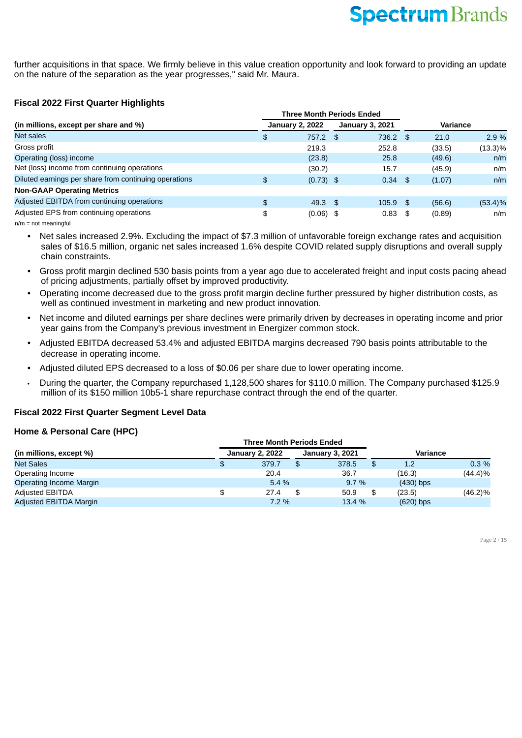further acquisitions in that space. We firmly believe in this value creation opportunity and look forward to providing an update on the nature of the separation as the year progresses," said Mr. Maura.

### **Fiscal 2022 First Quarter Highlights**

|                                                       |    | <b>Three Month Periods Ended</b> |  |                        |      |                 |            |
|-------------------------------------------------------|----|----------------------------------|--|------------------------|------|-----------------|------------|
| (in millions, except per share and %)                 |    | <b>January 2, 2022</b>           |  | <b>January 3, 2021</b> |      | <b>Variance</b> |            |
| Net sales                                             | \$ | $757.2$ \$                       |  | 736.2                  | - \$ | 21.0            | 2.9%       |
| Gross profit                                          |    | 219.3                            |  | 252.8                  |      | (33.5)          | $(13.3)\%$ |
| Operating (loss) income                               |    | (23.8)                           |  | 25.8                   |      | (49.6)          | n/m        |
| Net (loss) income from continuing operations          |    | (30.2)                           |  | 15.7                   |      | (45.9)          | n/m        |
| Diluted earnings per share from continuing operations | \$ | $(0.73)$ \$                      |  | 0.34                   | - \$ | (1.07)          | n/m        |
| <b>Non-GAAP Operating Metrics</b>                     |    |                                  |  |                        |      |                 |            |
| Adjusted EBITDA from continuing operations            | \$ | $49.3$ \$                        |  | $105.9$ \$             |      | (56.6)          | $(53.4)\%$ |
| Adjusted EPS from continuing operations               | \$ | $(0.06)$ \$                      |  | 0.83                   | \$   | (0.89)          | n/m        |
|                                                       |    |                                  |  |                        |      |                 |            |

n/m = not meaningful

• Net sales increased 2.9%. Excluding the impact of \$7.3 million of unfavorable foreign exchange rates and acquisition sales of \$16.5 million, organic net sales increased 1.6% despite COVID related supply disruptions and overall supply chain constraints.

- Gross profit margin declined 530 basis points from a year ago due to accelerated freight and input costs pacing ahead of pricing adjustments, partially offset by improved productivity.
- Operating income decreased due to the gross profit margin decline further pressured by higher distribution costs, as well as continued investment in marketing and new product innovation.
- Net income and diluted earnings per share declines were primarily driven by decreases in operating income and prior year gains from the Company's previous investment in Energizer common stock.
- Adjusted EBITDA decreased 53.4% and adjusted EBITDA margins decreased 790 basis points attributable to the decrease in operating income.
- Adjusted diluted EPS decreased to a loss of \$0.06 per share due to lower operating income.
- During the quarter, the Company repurchased 1,128,500 shares for \$110.0 million. The Company purchased \$125.9 million of its \$150 million 10b5-1 share repurchase contract through the end of the quarter.

### **Fiscal 2022 First Quarter Segment Level Data**

### **Home & Personal Care (HPC)**

|                                | <b>Three Month Periods Ended</b> |    |                        |    |             |            |  |
|--------------------------------|----------------------------------|----|------------------------|----|-------------|------------|--|
| (in millions, except %)        | <b>January 2, 2022</b>           |    | <b>January 3, 2021</b> |    | Variance    |            |  |
| <b>Net Sales</b>               | \$<br>379.7                      | \$ | 378.5                  | \$ | 1.2         | $0.3\%$    |  |
| Operating Income               | 20.4                             |    | 36.7                   |    | (16.3)      | (44.4)%    |  |
| <b>Operating Income Margin</b> | $5.4\%$                          |    | 9.7%                   |    | $(430)$ bps |            |  |
| <b>Adjusted EBITDA</b>         | 27.4                             | \$ | 50.9                   | \$ | (23.5)      | $(46.2)\%$ |  |
| Adjusted EBITDA Margin         | $7.2\%$                          |    | 13.4 %                 |    | $(620)$ bps |            |  |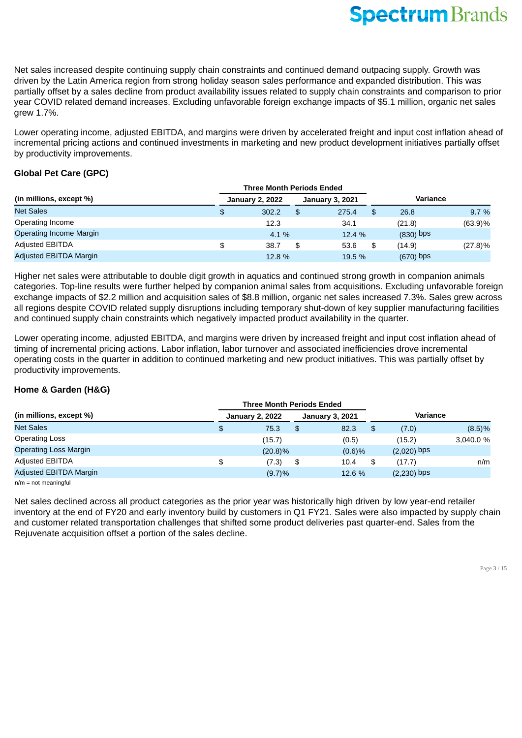Net sales increased despite continuing supply chain constraints and continued demand outpacing supply. Growth was driven by the Latin America region from strong holiday season sales performance and expanded distribution. This was partially offset by a sales decline from product availability issues related to supply chain constraints and comparison to prior year COVID related demand increases. Excluding unfavorable foreign exchange impacts of \$5.1 million, organic net sales grew 1.7%.

Lower operating income, adjusted EBITDA, and margins were driven by accelerated freight and input cost inflation ahead of incremental pricing actions and continued investments in marketing and new product development initiatives partially offset by productivity improvements.

### **Global Pet Care (GPC)**

|                                | <b>Three Month Periods Ended</b> |    |                        |    |             |            |
|--------------------------------|----------------------------------|----|------------------------|----|-------------|------------|
| (in millions, except %)        | <b>January 2, 2022</b>           |    | <b>January 3, 2021</b> |    | Variance    |            |
| <b>Net Sales</b>               | \$<br>302.2                      | \$ | 275.4                  | \$ | 26.8        | 9.7 %      |
| Operating Income               | 12.3                             |    | 34.1                   |    | (21.8)      | (63.9)%    |
| <b>Operating Income Margin</b> | 4.1 %                            |    | 12.4 %                 |    | $(830)$ bps |            |
| <b>Adjusted EBITDA</b>         | \$<br>38.7                       | \$ | 53.6                   | \$ | (14.9)      | $(27.8)\%$ |
| Adjusted EBITDA Margin         | 12.8 %                           |    | 19.5 %                 |    | $(670)$ bps |            |

Higher net sales were attributable to double digit growth in aquatics and continued strong growth in companion animals categories. Top-line results were further helped by companion animal sales from acquisitions. Excluding unfavorable foreign exchange impacts of \$2.2 million and acquisition sales of \$8.8 million, organic net sales increased 7.3%. Sales grew across all regions despite COVID related supply disruptions including temporary shut-down of key supplier manufacturing facilities and continued supply chain constraints which negatively impacted product availability in the quarter.

Lower operating income, adjusted EBITDA, and margins were driven by increased freight and input cost inflation ahead of timing of incremental pricing actions. Labor inflation, labor turnover and associated inefficiencies drove incremental operating costs in the quarter in addition to continued marketing and new product initiatives. This was partially offset by productivity improvements.

### **Home & Garden (H&G)**

|                              | <b>Three Month Periods Ended</b> |            |                        |           |          |               |           |
|------------------------------|----------------------------------|------------|------------------------|-----------|----------|---------------|-----------|
| (in millions, except %)      | <b>January 2, 2022</b>           |            | <b>January 3, 2021</b> |           | Variance |               |           |
| <b>Net Sales</b>             | \$                               | 75.3       | \$                     | 82.3      | \$       | (7.0)         | (8.5)%    |
| <b>Operating Loss</b>        |                                  | (15.7)     |                        | (0.5)     |          | (15.2)        | 3.040.0 % |
| <b>Operating Loss Margin</b> |                                  | $(20.8)\%$ |                        | $(0.6)$ % |          | $(2,020)$ bps |           |
| <b>Adjusted EBITDA</b>       | \$                               | (7.3)      | \$                     | 10.4      | \$       | (17.7)        | n/m       |
| Adjusted EBITDA Margin       |                                  | (9.7)%     |                        | 12.6 %    |          | $(2,230)$ bps |           |

 $n/m = not mean$ 

Net sales declined across all product categories as the prior year was historically high driven by low year-end retailer inventory at the end of FY20 and early inventory build by customers in Q1 FY21. Sales were also impacted by supply chain and customer related transportation challenges that shifted some product deliveries past quarter-end. Sales from the Rejuvenate acquisition offset a portion of the sales decline.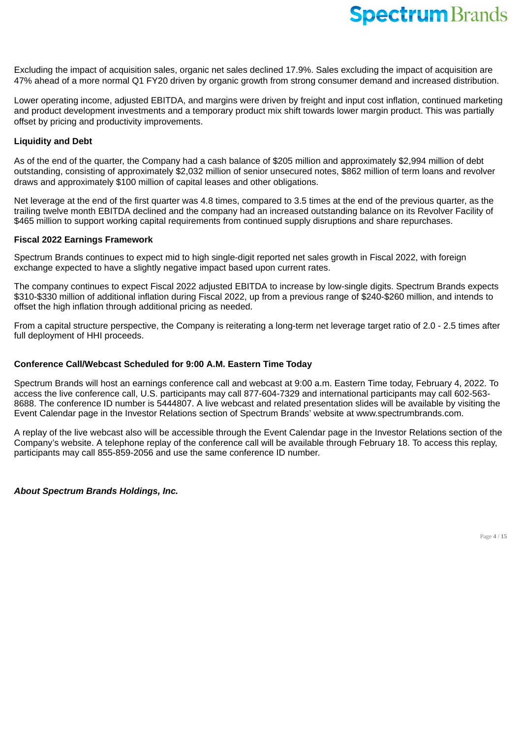Excluding the impact of acquisition sales, organic net sales declined 17.9%. Sales excluding the impact of acquisition are 47% ahead of a more normal Q1 FY20 driven by organic growth from strong consumer demand and increased distribution.

Lower operating income, adjusted EBITDA, and margins were driven by freight and input cost inflation, continued marketing and product development investments and a temporary product mix shift towards lower margin product. This was partially offset by pricing and productivity improvements.

### **Liquidity and Debt**

As of the end of the quarter, the Company had a cash balance of \$205 million and approximately \$2,994 million of debt outstanding, consisting of approximately \$2,032 million of senior unsecured notes, \$862 million of term loans and revolver draws and approximately \$100 million of capital leases and other obligations.

Net leverage at the end of the first quarter was 4.8 times, compared to 3.5 times at the end of the previous quarter, as the trailing twelve month EBITDA declined and the company had an increased outstanding balance on its Revolver Facility of \$465 million to support working capital requirements from continued supply disruptions and share repurchases.

### **Fiscal 2022 Earnings Framework**

Spectrum Brands continues to expect mid to high single-digit reported net sales growth in Fiscal 2022, with foreign exchange expected to have a slightly negative impact based upon current rates.

The company continues to expect Fiscal 2022 adjusted EBITDA to increase by low-single digits. Spectrum Brands expects \$310-\$330 million of additional inflation during Fiscal 2022, up from a previous range of \$240-\$260 million, and intends to offset the high inflation through additional pricing as needed.

From a capital structure perspective, the Company is reiterating a long-term net leverage target ratio of 2.0 - 2.5 times after full deployment of HHI proceeds.

### **Conference Call/Webcast Scheduled for 9:00 A.M. Eastern Time Today**

Spectrum Brands will host an earnings conference call and webcast at 9:00 a.m. Eastern Time today, February 4, 2022. To access the live conference call, U.S. participants may call 877-604-7329 and international participants may call 602-563- 8688. The conference ID number is 5444807. A live webcast and related presentation slides will be available by visiting the Event Calendar page in the Investor Relations section of Spectrum Brands' website at www.spectrumbrands.com.

A replay of the live webcast also will be accessible through the Event Calendar page in the Investor Relations section of the Company's website. A telephone replay of the conference call will be available through February 18. To access this replay, participants may call 855-859-2056 and use the same conference ID number.

*About Spectrum Brands Holdings, Inc.*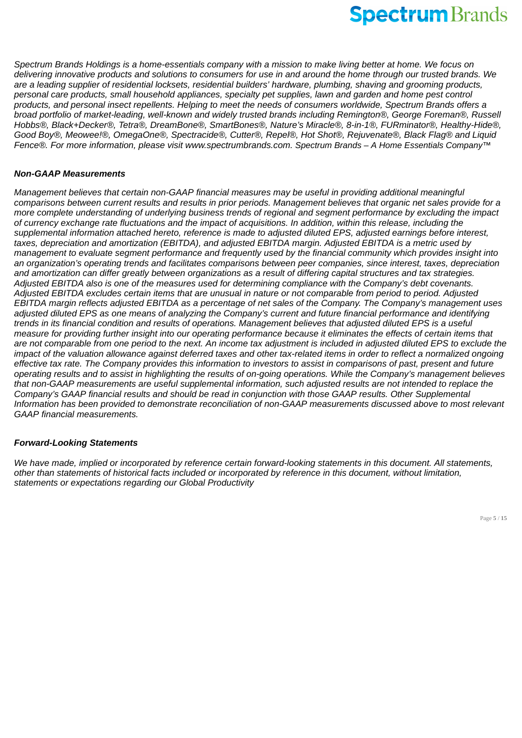*Spectrum Brands Holdings is a home-essentials company with a mission to make living better at home. We focus on delivering innovative products and solutions to consumers for use in and around the home through our trusted brands. We are a leading supplier of residential locksets, residential builders' hardware, plumbing, shaving and grooming products, personal care products, small household appliances, specialty pet supplies, lawn and garden and home pest control products, and personal insect repellents. Helping to meet the needs of consumers worldwide, Spectrum Brands offers a broad portfolio of market-leading, well-known and widely trusted brands including Remington®, George Foreman®, Russell Hobbs®, Black+Decker®, Tetra®, DreamBone®, SmartBones®, Nature's Miracle®, 8-in-1®, FURminator®, Healthy-Hide®, Good Boy®, Meowee!®, OmegaOne®, Spectracide®, Cutter®, Repel®, Hot Shot®, Rejuvenate®, Black Flag® and Liquid Fence®. For more information, please visit www.spectrumbrands.com. Spectrum Brands – A Home Essentials Company™*

### *Non-GAAP Measurements*

*Management believes that certain non-GAAP financial measures may be useful in providing additional meaningful comparisons between current results and results in prior periods. Management believes that organic net sales provide for a more complete understanding of underlying business trends of regional and segment performance by excluding the impact of currency exchange rate fluctuations and the impact of acquisitions. In addition, within this release, including the supplemental information attached hereto, reference is made to adjusted diluted EPS, adjusted earnings before interest, taxes, depreciation and amortization (EBITDA), and adjusted EBITDA margin. Adjusted EBITDA is a metric used by management to evaluate segment performance and frequently used by the financial community which provides insight into an organization's operating trends and facilitates comparisons between peer companies, since interest, taxes, depreciation and amortization can differ greatly between organizations as a result of differing capital structures and tax strategies. Adjusted EBITDA also is one of the measures used for determining compliance with the Company's debt covenants. Adjusted EBITDA excludes certain items that are unusual in nature or not comparable from period to period. Adjusted EBITDA margin reflects adjusted EBITDA as a percentage of net sales of the Company. The Company's management uses adjusted diluted EPS as one means of analyzing the Company's current and future financial performance and identifying trends in its financial condition and results of operations. Management believes that adjusted diluted EPS is a useful measure for providing further insight into our operating performance because it eliminates the effects of certain items that are not comparable from one period to the next. An income tax adjustment is included in adjusted diluted EPS to exclude the impact of the valuation allowance against deferred taxes and other tax-related items in order to reflect a normalized ongoing effective tax rate. The Company provides this information to investors to assist in comparisons of past, present and future operating results and to assist in highlighting the results of on-going operations. While the Company's management believes that non-GAAP measurements are useful supplemental information, such adjusted results are not intended to replace the Company's GAAP financial results and should be read in conjunction with those GAAP results. Other Supplemental Information has been provided to demonstrate reconciliation of non-GAAP measurements discussed above to most relevant GAAP financial measurements.*

### *Forward-Looking Statements*

*We have made, implied or incorporated by reference certain forward-looking statements in this document. All statements, other than statements of historical facts included or incorporated by reference in this document, without limitation, statements or expectations regarding our Global Productivity*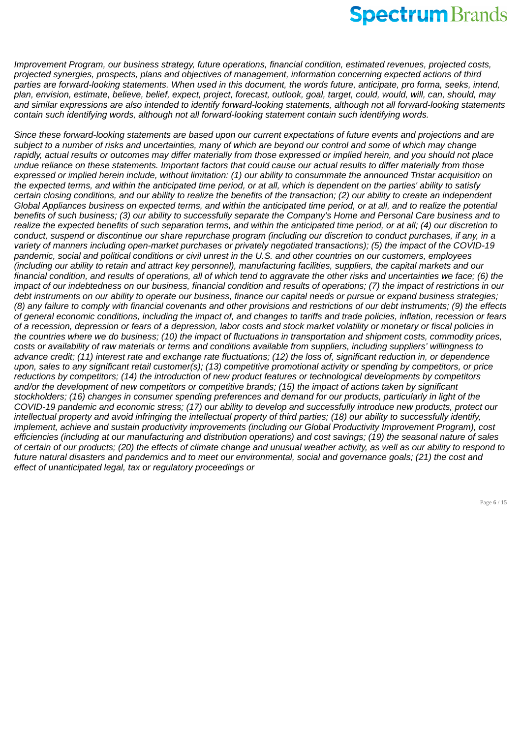*Improvement Program, our business strategy, future operations, financial condition, estimated revenues, projected costs, projected synergies, prospects, plans and objectives of management, information concerning expected actions of third parties are forward-looking statements. When used in this document, the words future, anticipate, pro forma, seeks, intend, plan, envision, estimate, believe, belief, expect, project, forecast, outlook, goal, target, could, would, will, can, should, may and similar expressions are also intended to identify forward-looking statements, although not all forward-looking statements contain such identifying words, although not all forward-looking statement contain such identifying words.*

*Since these forward-looking statements are based upon our current expectations of future events and projections and are subject to a number of risks and uncertainties, many of which are beyond our control and some of which may change rapidly, actual results or outcomes may differ materially from those expressed or implied herein, and you should not place undue reliance on these statements. Important factors that could cause our actual results to differ materially from those expressed or implied herein include, without limitation: (1) our ability to consummate the announced Tristar acquisition on the expected terms, and within the anticipated time period, or at all, which is dependent on the parties' ability to satisfy certain closing conditions, and our ability to realize the benefits of the transaction; (2) our ability to create an independent Global Appliances business on expected terms, and within the anticipated time period, or at all, and to realize the potential benefits of such business; (3) our ability to successfully separate the Company's Home and Personal Care business and to realize the expected benefits of such separation terms, and within the anticipated time period, or at all; (4) our discretion to conduct, suspend or discontinue our share repurchase program (including our discretion to conduct purchases, if any, in a variety of manners including open-market purchases or privately negotiated transactions); (5) the impact of the COVID-19 pandemic, social and political conditions or civil unrest in the U.S. and other countries on our customers, employees (including our ability to retain and attract key personnel), manufacturing facilities, suppliers, the capital markets and our financial condition, and results of operations, all of which tend to aggravate the other risks and uncertainties we face; (6) the impact of our indebtedness on our business, financial condition and results of operations; (7) the impact of restrictions in our debt instruments on our ability to operate our business, finance our capital needs or pursue or expand business strategies; (8) any failure to comply with financial covenants and other provisions and restrictions of our debt instruments; (9) the effects of general economic conditions, including the impact of, and changes to tariffs and trade policies, inflation, recession or fears of a recession, depression or fears of a depression, labor costs and stock market volatility or monetary or fiscal policies in the countries where we do business; (10) the impact of fluctuations in transportation and shipment costs, commodity prices, costs or availability of raw materials or terms and conditions available from suppliers, including suppliers' willingness to advance credit; (11) interest rate and exchange rate fluctuations; (12) the loss of, significant reduction in, or dependence upon, sales to any significant retail customer(s); (13) competitive promotional activity or spending by competitors, or price reductions by competitors; (14) the introduction of new product features or technological developments by competitors and/or the development of new competitors or competitive brands; (15) the impact of actions taken by significant stockholders; (16) changes in consumer spending preferences and demand for our products, particularly in light of the COVID-19 pandemic and economic stress; (17) our ability to develop and successfully introduce new products, protect our intellectual property and avoid infringing the intellectual property of third parties; (18) our ability to successfully identify, implement, achieve and sustain productivity improvements (including our Global Productivity Improvement Program), cost efficiencies (including at our manufacturing and distribution operations) and cost savings; (19) the seasonal nature of sales of certain of our products; (20) the effects of climate change and unusual weather activity, as well as our ability to respond to future natural disasters and pandemics and to meet our environmental, social and governance goals; (21) the cost and effect of unanticipated legal, tax or regulatory proceedings or*

Page **6** / **15**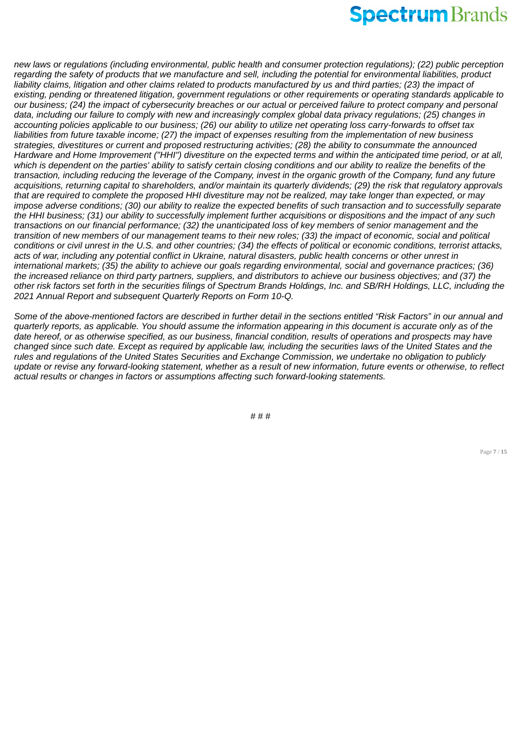*new laws or regulations (including environmental, public health and consumer protection regulations); (22) public perception regarding the safety of products that we manufacture and sell, including the potential for environmental liabilities, product liability claims, litigation and other claims related to products manufactured by us and third parties; (23) the impact of existing, pending or threatened litigation, government regulations or other requirements or operating standards applicable to our business; (24) the impact of cybersecurity breaches or our actual or perceived failure to protect company and personal data, including our failure to comply with new and increasingly complex global data privacy regulations; (25) changes in accounting policies applicable to our business; (26) our ability to utilize net operating loss carry-forwards to offset tax liabilities from future taxable income; (27) the impact of expenses resulting from the implementation of new business strategies, divestitures or current and proposed restructuring activities; (28) the ability to consummate the announced Hardware and Home Improvement ("HHI") divestiture on the expected terms and within the anticipated time period, or at all, which is dependent on the parties' ability to satisfy certain closing conditions and our ability to realize the benefits of the transaction, including reducing the leverage of the Company, invest in the organic growth of the Company, fund any future acquisitions, returning capital to shareholders, and/or maintain its quarterly dividends; (29) the risk that regulatory approvals that are required to complete the proposed HHI divestiture may not be realized, may take longer than expected, or may impose adverse conditions; (30) our ability to realize the expected benefits of such transaction and to successfully separate the HHI business; (31) our ability to successfully implement further acquisitions or dispositions and the impact of any such transactions on our financial performance; (32) the unanticipated loss of key members of senior management and the transition of new members of our management teams to their new roles; (33) the impact of economic, social and political conditions or civil unrest in the U.S. and other countries; (34) the effects of political or economic conditions, terrorist attacks, acts of war, including any potential conflict in Ukraine, natural disasters, public health concerns or other unrest in international markets; (35) the ability to achieve our goals regarding environmental, social and governance practices; (36) the increased reliance on third party partners, suppliers, and distributors to achieve our business objectives; and (37) the other risk factors set forth in the securities filings of Spectrum Brands Holdings, Inc. and SB/RH Holdings, LLC, including the 2021 Annual Report and subsequent Quarterly Reports on Form 10-Q.*

*Some of the above-mentioned factors are described in further detail in the sections entitled "Risk Factors" in our annual and quarterly reports, as applicable. You should assume the information appearing in this document is accurate only as of the date hereof, or as otherwise specified, as our business, financial condition, results of operations and prospects may have changed since such date. Except as required by applicable law, including the securities laws of the United States and the rules and regulations of the United States Securities and Exchange Commission, we undertake no obligation to publicly update or revise any forward-looking statement, whether as a result of new information, future events or otherwise, to reflect actual results or changes in factors or assumptions affecting such forward-looking statements.*

# # #

Page **7** / **15**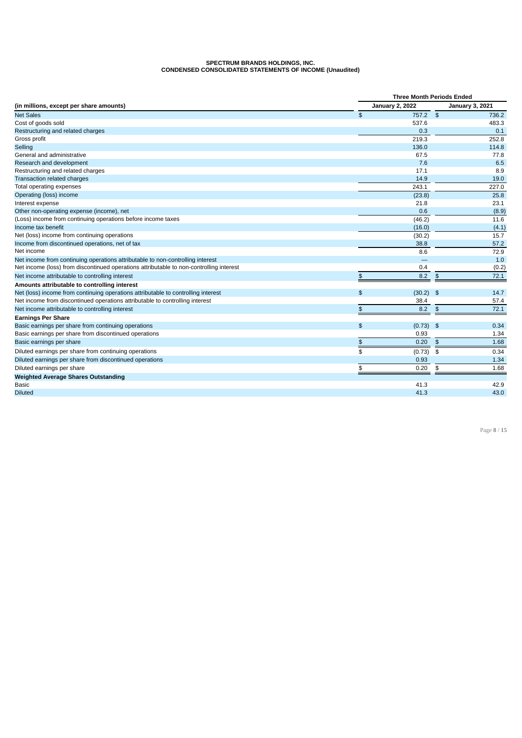### **SPECTRUM BRANDS HOLDINGS, INC. CONDENSED CONSOLIDATED STATEMENTS OF INCOME (Unaudited)**

|                                                                                         |                        | <b>Three Month Periods Ended</b> |                        |  |  |  |  |
|-----------------------------------------------------------------------------------------|------------------------|----------------------------------|------------------------|--|--|--|--|
| (in millions, except per share amounts)                                                 | <b>January 2, 2022</b> |                                  | <b>January 3, 2021</b> |  |  |  |  |
| <b>Net Sales</b>                                                                        | \$                     | 757.2<br>\$                      | 736.2                  |  |  |  |  |
| Cost of goods sold                                                                      |                        | 537.6                            | 483.3                  |  |  |  |  |
| Restructuring and related charges                                                       |                        | 0.3                              | 0.1                    |  |  |  |  |
| Gross profit                                                                            |                        | 219.3                            | 252.8                  |  |  |  |  |
| Selling                                                                                 |                        | 136.0                            | 114.8                  |  |  |  |  |
| General and administrative                                                              |                        | 67.5                             | 77.8                   |  |  |  |  |
| Research and development                                                                |                        | 7.6                              | 6.5                    |  |  |  |  |
| Restructuring and related charges                                                       |                        | 17.1                             | 8.9                    |  |  |  |  |
| <b>Transaction related charges</b>                                                      |                        | 14.9                             | 19.0                   |  |  |  |  |
| Total operating expenses                                                                |                        | 243.1                            | 227.0                  |  |  |  |  |
| Operating (loss) income                                                                 |                        | (23.8)                           | 25.8                   |  |  |  |  |
| Interest expense                                                                        |                        | 21.8                             | 23.1                   |  |  |  |  |
| Other non-operating expense (income), net                                               |                        | 0.6                              | (8.9)                  |  |  |  |  |
| (Loss) income from continuing operations before income taxes                            |                        | (46.2)                           | 11.6                   |  |  |  |  |
| Income tax benefit                                                                      |                        | (16.0)                           | (4.1)                  |  |  |  |  |
| Net (loss) income from continuing operations                                            |                        | (30.2)                           | 15.7                   |  |  |  |  |
| Income from discontinued operations, net of tax                                         |                        | 38.8                             | 57.2                   |  |  |  |  |
| Net income                                                                              |                        | 8.6                              | 72.9                   |  |  |  |  |
| Net income from continuing operations attributable to non-controlling interest          |                        |                                  | 1.0                    |  |  |  |  |
| Net income (loss) from discontinued operations attributable to non-controlling interest |                        | 0.4                              | (0.2)                  |  |  |  |  |
| Net income attributable to controlling interest                                         | \$                     | 8.2                              | 72.1<br>\$             |  |  |  |  |
| Amounts attributable to controlling interest                                            |                        |                                  |                        |  |  |  |  |
| Net (loss) income from continuing operations attributable to controlling interest       | \$                     | $(30.2)$ \$                      | 14.7                   |  |  |  |  |
| Net income from discontinued operations attributable to controlling interest            |                        | 38.4                             | 57.4                   |  |  |  |  |
| Net income attributable to controlling interest                                         | \$                     | 8.2                              | $\frac{4}{5}$<br>72.1  |  |  |  |  |
| <b>Earnings Per Share</b>                                                               |                        |                                  |                        |  |  |  |  |
| Basic earnings per share from continuing operations                                     | \$                     | $(0.73)$ \$                      | 0.34                   |  |  |  |  |
| Basic earnings per share from discontinued operations                                   |                        | 0.93                             | 1.34                   |  |  |  |  |
| Basic earnings per share                                                                | \$                     | 0.20                             | $\frac{2}{3}$<br>1.68  |  |  |  |  |
| Diluted earnings per share from continuing operations                                   | \$                     | (0.73)                           | 0.34<br>\$             |  |  |  |  |
| Diluted earnings per share from discontinued operations                                 |                        | 0.93                             | 1.34                   |  |  |  |  |
| Diluted earnings per share                                                              | \$                     | 0.20                             | \$<br>1.68             |  |  |  |  |
| <b>Weighted Average Shares Outstanding</b>                                              |                        |                                  |                        |  |  |  |  |
| <b>Basic</b>                                                                            |                        | 41.3                             | 42.9                   |  |  |  |  |
| <b>Diluted</b>                                                                          |                        | 41.3                             | 43.0                   |  |  |  |  |

Page **8** / **15**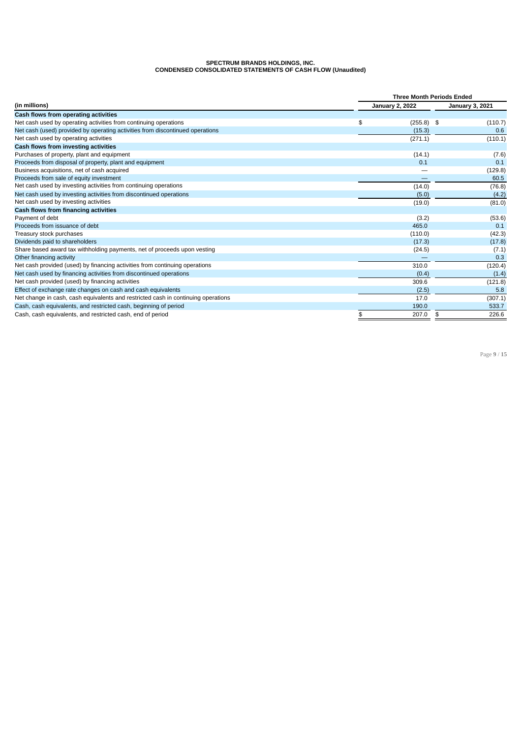### **SPECTRUM BRANDS HOLDINGS, INC. CONDENSED CONSOLIDATED STATEMENTS OF CASH FLOW (Unaudited)**

|                                                                                   | <b>Three Month Periods Ended</b> |                        |  |  |  |  |
|-----------------------------------------------------------------------------------|----------------------------------|------------------------|--|--|--|--|
| (in millions)                                                                     | <b>January 2, 2022</b>           | <b>January 3, 2021</b> |  |  |  |  |
| Cash flows from operating activities                                              |                                  |                        |  |  |  |  |
| Net cash used by operating activities from continuing operations                  | \$<br>$(255.8)$ \$               | (110.7)                |  |  |  |  |
| Net cash (used) provided by operating activities from discontinued operations     | (15.3)                           | 0.6                    |  |  |  |  |
| Net cash used by operating activities                                             | (271.1)                          | (110.1)                |  |  |  |  |
| Cash flows from investing activities                                              |                                  |                        |  |  |  |  |
| Purchases of property, plant and equipment                                        | (14.1)                           | (7.6)                  |  |  |  |  |
| Proceeds from disposal of property, plant and equipment                           | 0.1                              | 0.1                    |  |  |  |  |
| Business acquisitions, net of cash acquired                                       |                                  | (129.8)                |  |  |  |  |
| Proceeds from sale of equity investment                                           |                                  | 60.5                   |  |  |  |  |
| Net cash used by investing activities from continuing operations                  | (14.0)                           | (76.8)                 |  |  |  |  |
| Net cash used by investing activities from discontinued operations                | (5.0)                            | (4.2)                  |  |  |  |  |
| Net cash used by investing activities                                             | (19.0)                           | (81.0)                 |  |  |  |  |
| Cash flows from financing activities                                              |                                  |                        |  |  |  |  |
| Payment of debt                                                                   | (3.2)                            | (53.6)                 |  |  |  |  |
| Proceeds from issuance of debt                                                    | 465.0                            | 0.1                    |  |  |  |  |
| Treasury stock purchases                                                          | (110.0)                          | (42.3)                 |  |  |  |  |
| Dividends paid to shareholders                                                    | (17.3)                           | (17.8)                 |  |  |  |  |
| Share based award tax withholding payments, net of proceeds upon vesting          | (24.5)                           | (7.1)                  |  |  |  |  |
| Other financing activity                                                          |                                  | 0.3                    |  |  |  |  |
| Net cash provided (used) by financing activities from continuing operations       | 310.0                            | (120.4)                |  |  |  |  |
| Net cash used by financing activities from discontinued operations                | (0.4)                            | (1.4)                  |  |  |  |  |
| Net cash provided (used) by financing activities                                  | 309.6                            | (121.8)                |  |  |  |  |
| Effect of exchange rate changes on cash and cash equivalents                      | (2.5)                            | 5.8                    |  |  |  |  |
| Net change in cash, cash equivalents and restricted cash in continuing operations | 17.0                             | (307.1)                |  |  |  |  |
| Cash, cash equivalents, and restricted cash, beginning of period                  | 190.0                            | 533.7                  |  |  |  |  |
| Cash, cash equivalents, and restricted cash, end of period                        | \$<br>207.0                      | 226.6<br>\$            |  |  |  |  |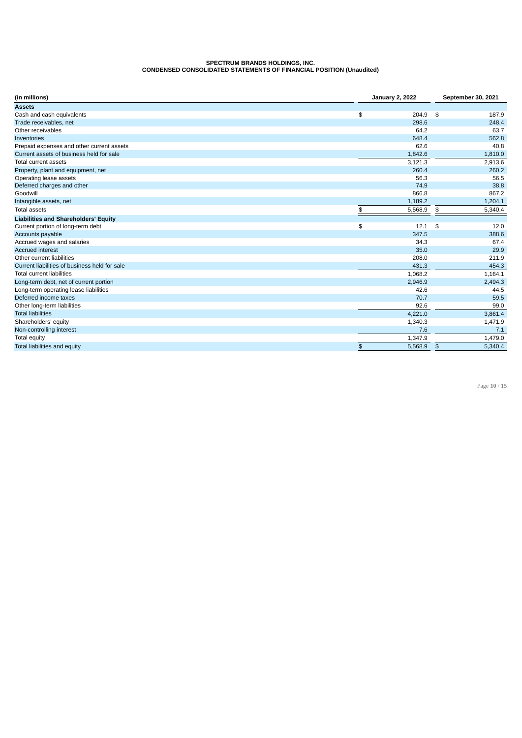### **SPECTRUM BRANDS HOLDINGS, INC. CONDENSED CONSOLIDATED STATEMENTS OF FINANCIAL POSITION (Unaudited)**

| (in millions)                                 | <b>January 2, 2022</b> | <b>September 30, 2021</b> |         |
|-----------------------------------------------|------------------------|---------------------------|---------|
| <b>Assets</b>                                 |                        |                           |         |
| Cash and cash equivalents                     | \$<br>204.9            | \$                        | 187.9   |
| Trade receivables, net                        | 298.6                  |                           | 248.4   |
| Other receivables                             | 64.2                   |                           | 63.7    |
| Inventories                                   | 648.4                  |                           | 562.8   |
| Prepaid expenses and other current assets     | 62.6                   |                           | 40.8    |
| Current assets of business held for sale      | 1,842.6                |                           | 1,810.0 |
| <b>Total current assets</b>                   | 3,121.3                |                           | 2,913.6 |
| Property, plant and equipment, net            | 260.4                  |                           | 260.2   |
| Operating lease assets                        | 56.3                   |                           | 56.5    |
| Deferred charges and other                    | 74.9                   |                           | 38.8    |
| Goodwill                                      | 866.8                  |                           | 867.2   |
| Intangible assets, net                        | 1,189.2                |                           | 1,204.1 |
| <b>Total assets</b>                           | \$<br>5,568.9          | \$                        | 5,340.4 |
| <b>Liabilities and Shareholders' Equity</b>   |                        |                           |         |
| Current portion of long-term debt             | \$<br>12.1             | \$                        | 12.0    |
| Accounts payable                              | 347.5                  |                           | 388.6   |
| Accrued wages and salaries                    | 34.3                   |                           | 67.4    |
| <b>Accrued interest</b>                       | 35.0                   |                           | 29.9    |
| Other current liabilities                     | 208.0                  |                           | 211.9   |
| Current liabilities of business held for sale | 431.3                  |                           | 454.3   |
| <b>Total current liabilities</b>              | 1,068.2                |                           | 1,164.1 |
| Long-term debt, net of current portion        | 2,946.9                |                           | 2,494.3 |
| Long-term operating lease liabilities         | 42.6                   |                           | 44.5    |
| Deferred income taxes                         | 70.7                   |                           | 59.5    |
| Other long-term liabilities                   | 92.6                   |                           | 99.0    |
| <b>Total liabilities</b>                      | 4,221.0                |                           | 3,861.4 |
| Shareholders' equity                          | 1,340.3                |                           | 1,471.9 |
| Non-controlling interest                      | 7.6                    |                           | 7.1     |
| <b>Total equity</b>                           | 1,347.9                |                           | 1,479.0 |
| Total liabilities and equity                  | \$<br>5,568.9          | $\frac{4}{5}$             | 5,340.4 |

Page **10** / **15**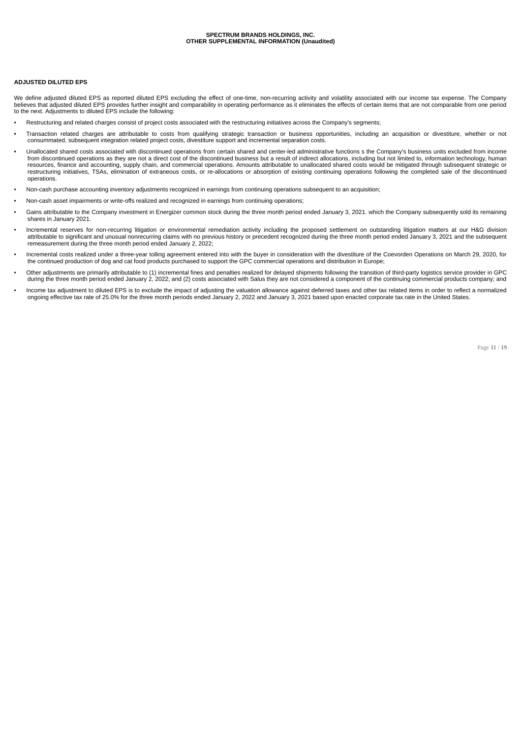### **ADJUSTED DILUTED EPS**

We define adjusted diluted EPS as reported diluted EPS excluding the effect of one-time, non-recurring activity and volatility associated with our income tax expense. The Company believes that adjusted diluted EPS provides further insight and comparability in operating performance as it eliminates the effects of certain items that are not comparable from one period<br>to the next. Adjustments to dilut

- structuring and related charges consist of project costs associated with the restructuring initiatives across the Company's segments;
- Transaction related charges are attributable to costs from qualifying strategic transaction or business opportunities, including an acquisition or divestiture, whether or not<br>consummated, subsequent integration related pro
- **•** Unallocated shared costs associated with discontinued operations from certain shared and center-led administrative functions s the Company's business units excluded from income from discontinued operations as they are not a direct cost of the discontinued business but a result of indirect allocations, including but not limited to, information technology, human resources, finance and accounting, supply chain, and commercial operations. Amounts attributable to unallocated shared costs would be mitigated through subsequent strategic or restructuring initiatives, TSAs, elimination of extraneous costs, or re-allocations or absorption of existing continuing operations following the completed sale of the discontinued operations.
- Non-cash purchase accounting inventory adjustments recognized in earnings from continuing operations subsequent to an acquisition;
- Non-cash asset impairments or write-offs realized and recognized in earnings from continuing operations;
- Gains attributable to the Company investment in Energizer common stock during the three month period ended January 3, 2021. which the Company subsequently sold its remaining shares in January 2021.
- Incremental reserves for non-recurring litigation or environmental remediation activity including the proposed settlement on outstanding litigation matters at our H&G division attributable to significant and unusual nonrecurring claims with no previous history or precedent recognized during the three month period ended January 3, 2021 and the subsequent remeasurement during the three month period ended January 2, 2022;
- Incremental costs realized under a three-year tolling agreement entered into with the buyer in consideration with the divestiture of the Coevorden Operations on March 29, 2020, for<br>the continued production of dog and cat f
- Other adjustments are primarily attributable to (1) incremental fines and penalties realized for delayed shipments following the transition of third-party logistics service provider in GPC during the three month period ended January 2, 2022; and (2) costs associated with Salus they are not considered a component of the continuing commercial products company; and
- Income tax adjustment to diluted EPS is to exclude the impact of adjusting the valuation allowance against deferred taxes and other tax related items in order to reflect a normalized ongoing effective tax rate of 25.0% for the three month periods ended January 2, 2022 and January 3, 2021 based upon enacted corporate tax rate in the United States.

Page **11** / **19**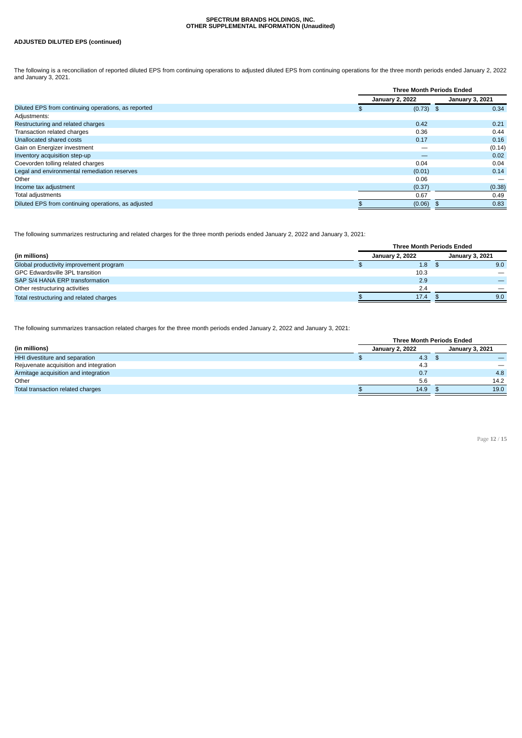### **ADJUSTED DILUTED EPS (continued)**

The following is a reconciliation of reported diluted EPS from continuing operations to adjusted diluted EPS from continuing operations for the three month periods ended January 2, 2022<br>and January 3, 2021.

|                                                     |                        | <b>Three Month Periods Ended</b> |  |                        |
|-----------------------------------------------------|------------------------|----------------------------------|--|------------------------|
|                                                     | <b>January 2, 2022</b> |                                  |  | <b>January 3, 2021</b> |
| Diluted EPS from continuing operations, as reported | \$                     | $(0.73)$ \$                      |  | 0.34                   |
| Adjustments:                                        |                        |                                  |  |                        |
| Restructuring and related charges                   |                        | 0.42                             |  | 0.21                   |
| Transaction related charges                         |                        | 0.36                             |  | 0.44                   |
| Unallocated shared costs                            |                        | 0.17                             |  | 0.16                   |
| Gain on Energizer investment                        |                        |                                  |  | (0.14)                 |
| Inventory acquisition step-up                       |                        | —                                |  | 0.02                   |
| Coevorden tolling related charges                   |                        | 0.04                             |  | 0.04                   |
| Legal and environmental remediation reserves        |                        | (0.01)                           |  | 0.14                   |
| Other                                               |                        | 0.06                             |  |                        |
| Income tax adjustment                               |                        | (0.37)                           |  | (0.38)                 |
| Total adjustments                                   |                        | 0.67                             |  | 0.49                   |
| Diluted EPS from continuing operations, as adjusted |                        | (0.06)                           |  | 0.83                   |

The following summarizes restructuring and related charges for the three month periods ended January 2, 2022 and January 3, 2021:

|                                         | <b>Three Month Periods Ended</b> |                  |  |                        |  |
|-----------------------------------------|----------------------------------|------------------|--|------------------------|--|
| (in millions)                           | <b>January 2, 2022</b>           |                  |  | <b>January 3, 2021</b> |  |
| Global productivity improvement program |                                  | 1.8 <sub>1</sub> |  | 9.0                    |  |
| <b>GPC Edwardsville 3PL transition</b>  |                                  | 10.3             |  |                        |  |
| SAP S/4 HANA ERP transformation         |                                  | 2.9              |  |                        |  |
| Other restructuring activities          |                                  | 2.4              |  |                        |  |
| Total restructuring and related charges |                                  | 17.4             |  | 9.0                    |  |

The following summarizes transaction related charges for the three month periods ended January 2, 2022 and January 3, 2021:

|                                        |                        | <b>Three Month Periods Ended</b> |  |                                |  |  |
|----------------------------------------|------------------------|----------------------------------|--|--------------------------------|--|--|
| (in millions)                          | <b>January 2, 2022</b> |                                  |  | <b>January 3, 2021</b>         |  |  |
| HHI divestiture and separation         |                        | 4.3                              |  |                                |  |  |
| Rejuvenate acquisition and integration |                        | 4.3                              |  | $\qquad \qquad \longleftarrow$ |  |  |
| Armitage acquisition and integration   |                        | 0.7                              |  | 4.8                            |  |  |
| Other                                  |                        | 5.6                              |  | 14.2                           |  |  |
| Total transaction related charges      |                        | 14.9                             |  | 19.0                           |  |  |

Page **12** / **15**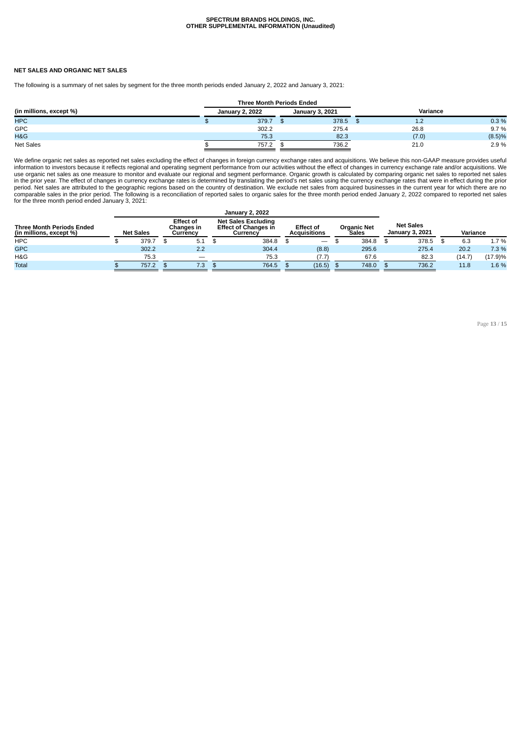#### **NET SALES AND ORGANIC NET SALES**

The following is a summary of net sales by segment for the three month periods ended January 2, 2022 and January 3, 2021:

|                         | <b>Three Month Periods Ended</b> |                        |          |        |
|-------------------------|----------------------------------|------------------------|----------|--------|
| (in millions, except %) | <b>January 2, 2022</b>           | <b>January 3, 2021</b> | Variance |        |
| <b>HPC</b>              | 379.7                            | 378.5 \$               | 1.2      | 0.3%   |
| GPC                     | 302.2                            | 275.4                  | 26.8     | 9.7%   |
| H&G                     | 75.3                             | 82.3                   | (7.0)    | (8.5)% |
| <b>Net Sales</b>        | 757.2                            | 736.2                  | 21.0     | 2.9 %  |

We define organic net sales as reported net sales excluding the effect of changes in foreign currency exchange rates and acquisitions. We believe this non-GAAP measure provides useful<br>information to investors because it re use organic net sales as one measure to monitor and evaluate our regional and segment performance. Organic growth is calculated by comparing organic net sales to reported net sales<br>in the prior year. The effect of changes for the three month period ended January 3, 2021:

| <b>January 2, 2022</b>                                      |  |                  |                                            |     |                                                                       |       |                                         |                                |                      |       |                                            |       |          |        |         |
|-------------------------------------------------------------|--|------------------|--------------------------------------------|-----|-----------------------------------------------------------------------|-------|-----------------------------------------|--------------------------------|----------------------|-------|--------------------------------------------|-------|----------|--------|---------|
| <b>Three Month Periods Ended</b><br>(in millions, except %) |  | <b>Net Sales</b> | <b>Effect of</b><br>Changes in<br>Currency |     | <b>Net Sales Excluding</b><br><b>Effect of Changes in</b><br>Currencv |       | <b>Effect of</b><br><b>Acquisitions</b> |                                | Organic Net<br>Sales |       | <b>Net Sales</b><br><b>January 3, 2021</b> |       | Variance |        |         |
| <b>HPC</b>                                                  |  | 379.7            |                                            | 5.1 |                                                                       | 384.8 |                                         | $\qquad \qquad \longleftarrow$ |                      | 384.8 |                                            | 378.5 |          | 6.3    | 1.7 %   |
| <b>GPC</b>                                                  |  | 302.2            |                                            | 2.2 |                                                                       | 304.4 |                                         | (8.8)                          |                      | 295.6 |                                            | 275.4 |          | 20.2   | 7.3 %   |
| H&G                                                         |  | 75.3             |                                            | $-$ |                                                                       | 75.3  |                                         | (7.7)                          |                      | 67.6  |                                            | 82.3  |          | (14.7) | (17.9)% |
| <b>Total</b>                                                |  | 757.2            |                                            | 7.3 |                                                                       | 764.5 |                                         | (16.5)                         |                      | 748.0 |                                            | 736.2 |          | 11.8   | 1.6 %   |

Page **13** / **15**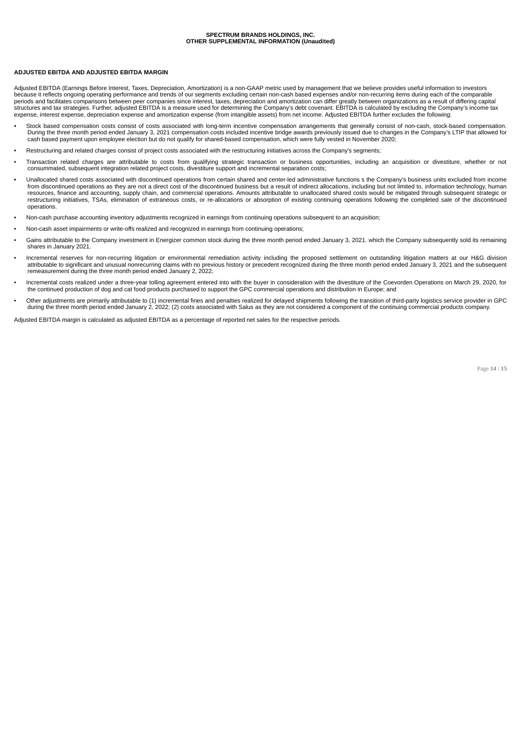#### **ADJUSTED EBITDA AND ADJUSTED EBITDA MARGIN**

Adjusted EBITDA (Earnings Before Interest, Taxes, Depreciation, Amortization) is a non-GAAP metric used by management that we believe provides useful information to investors because it reflects ongoing operating performance and trends of our segments excluding certain non-cash based expenses and/or non-recurring items during each of the comparable<br>periods and facilitates comparisons between pe structures and tax strategies. Further, adjusted EBITDA is a measure used for determining the Company's debt covenant. EBITDA is calculated by excluding the Company's income tax expense, interest expense, depreciation expense and amortization expense (from intangible assets) from net income. Adjusted EBITDA further excludes the following:

- Stock based compensation costs consist of costs associated with long-term incentive compensation arrangements that generally consist of non-cash, stock-based compensation. During the three month period ended January 3, 2021 compensation costs included incentive bridge awards previously issued due to changes in the Company's LTIP that allowed for cash based payment upon employee election but do not qualify for shared-based compensation, which were fully vested in November 2020;
- Restructuring and related charges consist of project costs associated with the restructuring initiatives across the Company's segments;
- Transaction related charges are attributable to costs from qualifying strategic transaction or business opportunities, including an acquisition or divestiture, whether or not consummated, subsequent integration related project costs, divestiture support and incremental separation costs;
- **•** Unallocated shared costs associated with discontinued operations from certain shared and center-led administrative functions s the Company's business units excluded from income from discontinued operations as they are not a direct cost of the discontinued business but a result of indirect allocations, including but not limited to, information technology, human resources, finance and accounting, supply chain, and commercial operations. Amounts attributable to unallocated shared costs would be mitigated through subsequent strategic or<br>restructuring initiatives, TSAs, elimination o operations.
- Non-cash purchase accounting inventory adjustments recognized in earnings from continuing operations subsequent to an acquisition;
- Non-cash asset impairments or write-offs realized and recognized in earnings from continuing operations;
- Gains attributable to the Company investment in Energizer common stock during the three month period ended January 3, 2021. which the Company subsequently sold its remaining shares in January 2021.
- Incremental reserves for non-recurring litigation or environmental remediation activity including the proposed settlement on outstanding litigation matters at our H&G division attributable to significant and unusual nonrecurring claims with no previous history or precedent recognized during the three month period ended January 3, 2021 and the subsequent remeasurement during the three month period ended January 2, 2022;
- Incremental costs realized under a three-year tolling agreement entered into with the buyer in consideration with the divestiture of the Coevorden Operations on March 29, 2020, for the continued production of dog and cat food products purchased to support the GPC commercial operations and distribution in Europe; and
- Other adjustments are primarily attributable to (1) incremental fines and penalties realized for delayed shipments following the transition of third-party logistics service provider in GPC during the three month period ended January 2, 2022; (2) costs associated with Salus as they are not considered a component of the continuing commercial products company.

Adjusted EBITDA margin is calculated as adjusted EBITDA as a percentage of reported net sales for the respective periods.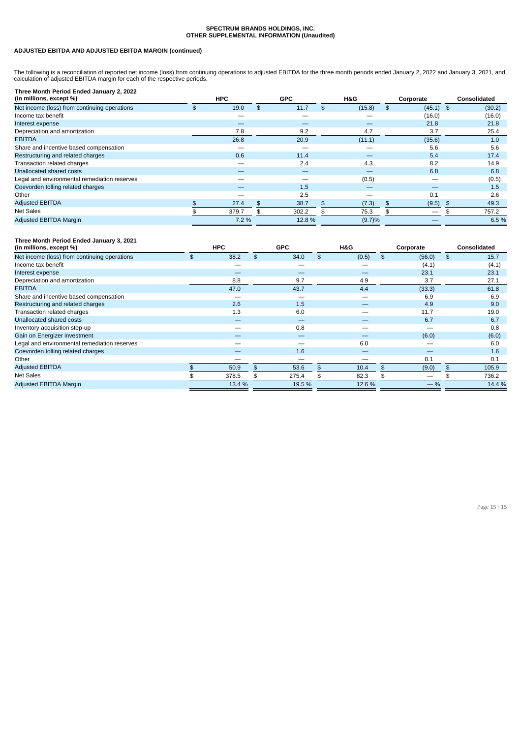### **ADJUSTED EBITDA AND ADJUSTED EBITDA MARGIN (continued)**

The following is a reconciliation of reported net income (loss) from continuing operations to adjusted EBITDA for the three month periods ended January 2, 2022 and January 3, 2021, and<br>calculation of adjusted EBITDA margin

| Three Month Period Ended January 2, 2022<br>(in millions, except %) |     | <b>HPC</b> | <b>GPC</b> | H&G          | Corporate         | Consolidated |
|---------------------------------------------------------------------|-----|------------|------------|--------------|-------------------|--------------|
| Net income (loss) from continuing operations                        | \$. | 19.0       | \$<br>11.7 | \$<br>(15.8) | $(45.1)$ \$<br>\$ | (30.2)       |
| Income tax benefit                                                  |     |            |            |              | (16.0)            | (16.0)       |
| Interest expense                                                    |     |            |            |              | 21.8              | 21.8         |
| Depreciation and amortization                                       |     | 7.8        | 9.2        | 4.7          | 3.7               | 25.4         |
| <b>EBITDA</b>                                                       |     | 26.8       | 20.9       | (11.1)       | (35.6)            | 1.0          |
| Share and incentive based compensation                              |     |            | –          |              | 5.6               | 5.6          |
| Restructuring and related charges                                   |     | 0.6        | 11.4       |              | 5.4               | 17.4         |
| Transaction related charges                                         |     | —          | 2.4        | 4.3          | 8.2               | 14.9         |
| Unallocated shared costs                                            |     | —          |            |              | 6.8               | 6.8          |
| Legal and environmental remediation reserves                        |     |            |            | (0.5)        |                   | (0.5)        |
| Coevorden tolling related charges                                   |     |            | 1.5        |              |                   | 1.5          |
| Other                                                               |     |            | 2.5        |              | 0.1               | 2.6          |
| <b>Adjusted EBITDA</b>                                              |     | 27.4       | 38.7       | (7.3)        | (9.5)             | 49.3         |
| Net Sales                                                           |     | 379.7      | 302.2      | 75.3         |                   | 757.2        |
| <b>Adjusted EBITDA Margin</b>                                       |     | 7.2 %      | 12.8 %     | (9.7)%       |                   | 6.5%         |

### **Three Month Period Ended January 3, 2021**

| (in millions, except %)                      | <b>HPC</b> | <b>GPC</b>               |    | H&G   | Corporate               |    | <b>Consolidated</b> |  |
|----------------------------------------------|------------|--------------------------|----|-------|-------------------------|----|---------------------|--|
| Net income (loss) from continuing operations | \$<br>38.2 | \$<br>34.0               | \$ | (0.5) | (56.0)<br>\$            | \$ | 15.7                |  |
| Income tax benefit                           |            | --                       |    |       | (4.1)                   |    | (4.1)               |  |
| Interest expense                             | $-$        | $\overline{\phantom{a}}$ |    | $-$   | 23.1                    |    | 23.1                |  |
| Depreciation and amortization                | 8.8        | 9.7                      |    | 4.9   | 3.7                     |    | 27.1                |  |
| <b>EBITDA</b>                                | 47.0       | 43.7                     |    | 4.4   | (33.3)                  |    | 61.8                |  |
| Share and incentive based compensation       |            |                          |    |       | 6.9                     |    | 6.9                 |  |
| Restructuring and related charges            | 2.6        | 1.5                      |    |       | 4.9                     |    | 9.0                 |  |
| Transaction related charges                  | 1.3        | 6.0                      |    |       | 11.7                    |    | 19.0                |  |
| Unallocated shared costs                     |            |                          |    |       | 6.7                     |    | 6.7                 |  |
| Inventory acquisition step-up                |            | 0.8                      |    |       |                         |    | 0.8                 |  |
| Gain on Energizer investment                 |            |                          |    |       | (6.0)                   |    | (6.0)               |  |
| Legal and environmental remediation reserves |            |                          |    | 6.0   |                         |    | 6.0                 |  |
| Coevorden tolling related charges            |            | 1.6                      |    |       |                         |    | 1.6                 |  |
| Other                                        |            |                          |    |       | 0.1                     |    | 0.1                 |  |
| <b>Adjusted EBITDA</b>                       | 50.9       | \$<br>53.6               | £. | 10.4  | (9.0)<br>$\mathfrak{L}$ | \$ | 105.9               |  |
| Net Sales                                    | 378.5      | \$<br>275.4              |    | 82.3  |                         |    | 736.2               |  |
| Adjusted EBITDA Margin                       | 13.4 %     | 19.5 %                   |    | 12.6% | $-$ %                   |    | 14.4 %              |  |

Page **15** / **15**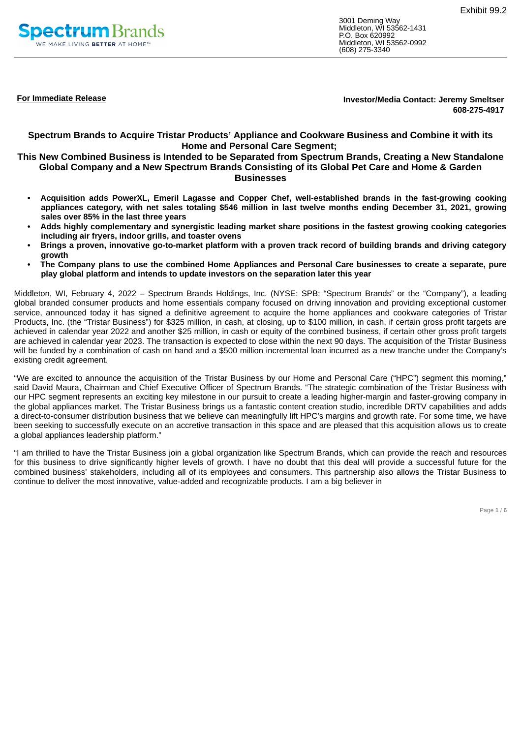<span id="page-20-0"></span>

3001 Deming Way Middleton, WI 53562-1431 P.O. Box 620992 Middleton, WI 53562-0992 (608) 275-3340

**For Immediate Release Investor/Media Contact: Jeremy Smeltser 608-275-4917**

**Spectrum Brands to Acquire Tristar Products' Appliance and Cookware Business and Combine it with its Home and Personal Care Segment;**

### **This New Combined Business is Intended to be Separated from Spectrum Brands, Creating a New Standalone Global Company and a New Spectrum Brands Consisting of its Global Pet Care and Home & Garden Businesses**

- **• Acquisition adds PowerXL, Emeril Lagasse and Copper Chef, well-established brands in the fast-growing cooking** appliances category, with net sales totaling \$546 million in last twelve months ending December 31, 2021, growing **sales over 85% in the last three years**
- Adds highly complementary and synergistic leading market share positions in the fastest growing cooking categories **including air fryers, indoor grills, and toaster ovens**
- Brings a proven, innovative go-to-market platform with a proven track record of building brands and driving category **growth**
- The Company plans to use the combined Home Appliances and Personal Care businesses to create a separate, pure **play global platform and intends to update investors on the separation later this year**

Middleton, WI, February 4, 2022 – Spectrum Brands Holdings, Inc. (NYSE: SPB; "Spectrum Brands" or the "Company"), a leading global branded consumer products and home essentials company focused on driving innovation and providing exceptional customer service, announced today it has signed a definitive agreement to acquire the home appliances and cookware categories of Tristar Products, Inc. (the "Tristar Business") for \$325 million, in cash, at closing, up to \$100 million, in cash, if certain gross profit targets are achieved in calendar year 2022 and another \$25 million, in cash or equity of the combined business, if certain other gross profit targets are achieved in calendar year 2023. The transaction is expected to close within the next 90 days. The acquisition of the Tristar Business will be funded by a combination of cash on hand and a \$500 million incremental loan incurred as a new tranche under the Company's existing credit agreement.

"We are excited to announce the acquisition of the Tristar Business by our Home and Personal Care ("HPC") segment this morning," said David Maura, Chairman and Chief Executive Officer of Spectrum Brands. "The strategic combination of the Tristar Business with our HPC segment represents an exciting key milestone in our pursuit to create a leading higher-margin and faster-growing company in the global appliances market. The Tristar Business brings us a fantastic content creation studio, incredible DRTV capabilities and adds a direct-to-consumer distribution business that we believe can meaningfully lift HPC's margins and growth rate. For some time, we have been seeking to successfully execute on an accretive transaction in this space and are pleased that this acquisition allows us to create a global appliances leadership platform."

"I am thrilled to have the Tristar Business join a global organization like Spectrum Brands, which can provide the reach and resources for this business to drive significantly higher levels of growth. I have no doubt that this deal will provide a successful future for the combined business' stakeholders, including all of its employees and consumers. This partnership also allows the Tristar Business to continue to deliver the most innovative, value-added and recognizable products. I am a big believer in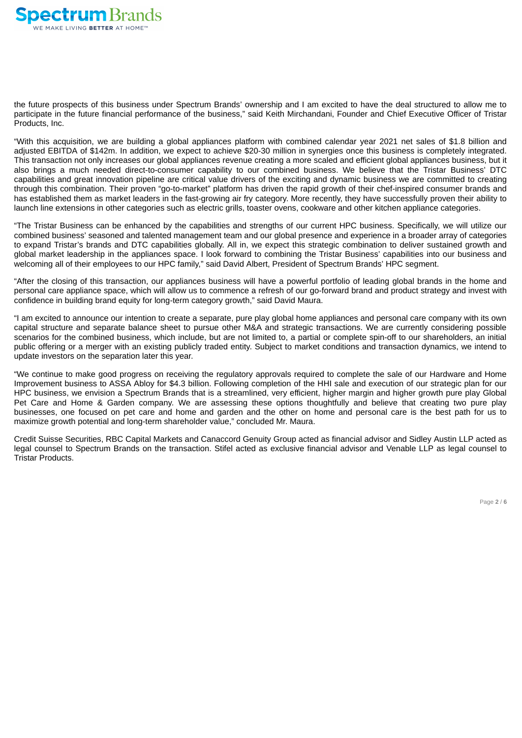

the future prospects of this business under Spectrum Brands' ownership and I am excited to have the deal structured to allow me to participate in the future financial performance of the business," said Keith Mirchandani, Founder and Chief Executive Officer of Tristar Products, Inc.

"With this acquisition, we are building a global appliances platform with combined calendar year 2021 net sales of \$1.8 billion and adjusted EBITDA of \$142m. In addition, we expect to achieve \$20-30 million in synergies once this business is completely integrated. This transaction not only increases our global appliances revenue creating a more scaled and efficient global appliances business, but it also brings a much needed direct-to-consumer capability to our combined business. We believe that the Tristar Business' DTC capabilities and great innovation pipeline are critical value drivers of the exciting and dynamic business we are committed to creating through this combination. Their proven "go-to-market" platform has driven the rapid growth of their chef-inspired consumer brands and has established them as market leaders in the fast-growing air fry category. More recently, they have successfully proven their ability to launch line extensions in other categories such as electric grills, toaster ovens, cookware and other kitchen appliance categories.

"The Tristar Business can be enhanced by the capabilities and strengths of our current HPC business. Specifically, we will utilize our combined business' seasoned and talented management team and our global presence and experience in a broader array of categories to expand Tristar's brands and DTC capabilities globally. All in, we expect this strategic combination to deliver sustained growth and global market leadership in the appliances space. I look forward to combining the Tristar Business' capabilities into our business and welcoming all of their employees to our HPC family," said David Albert, President of Spectrum Brands' HPC segment.

"After the closing of this transaction, our appliances business will have a powerful portfolio of leading global brands in the home and personal care appliance space, which will allow us to commence a refresh of our go-forward brand and product strategy and invest with confidence in building brand equity for long-term category growth," said David Maura.

"I am excited to announce our intention to create a separate, pure play global home appliances and personal care company with its own capital structure and separate balance sheet to pursue other M&A and strategic transactions. We are currently considering possible scenarios for the combined business, which include, but are not limited to, a partial or complete spin-off to our shareholders, an initial public offering or a merger with an existing publicly traded entity. Subject to market conditions and transaction dynamics, we intend to update investors on the separation later this year.

"We continue to make good progress on receiving the regulatory approvals required to complete the sale of our Hardware and Home Improvement business to ASSA Abloy for \$4.3 billion. Following completion of the HHI sale and execution of our strategic plan for our HPC business, we envision a Spectrum Brands that is a streamlined, very efficient, higher margin and higher growth pure play Global Pet Care and Home & Garden company. We are assessing these options thoughtfully and believe that creating two pure play businesses, one focused on pet care and home and garden and the other on home and personal care is the best path for us to maximize growth potential and long-term shareholder value," concluded Mr. Maura.

Credit Suisse Securities, RBC Capital Markets and Canaccord Genuity Group acted as financial advisor and Sidley Austin LLP acted as legal counsel to Spectrum Brands on the transaction. Stifel acted as exclusive financial advisor and Venable LLP as legal counsel to Tristar Products.

Page **2** / **6**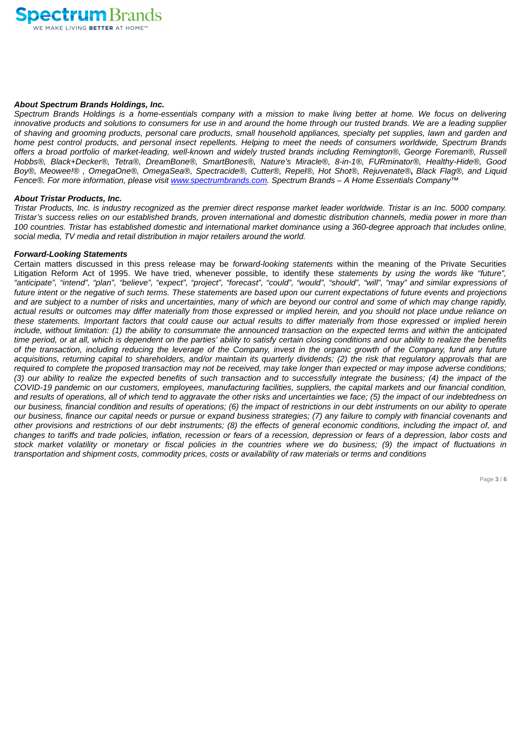

### *About Spectrum Brands Holdings, Inc.*

Spectrum Brands Holdings is a home-essentials company with a mission to make living better at home. We focus on delivering innovative products and solutions to consumers for use in and around the home through our trusted brands. We are a leading supplier of shaving and grooming products, personal care products, small household appliances, specialty pet supplies, lawn and garden and home pest control products, and personal insect repellents. Helping to meet the needs of consumers worldwide. Spectrum Brands offers a broad portfolio of market-leading, well-known and widely trusted brands including Remington®, George Foreman®, Russell *Hobbs®, Black+Decker®, Tetra®, DreamBone®, SmartBones®, Nature's Miracle®, 8-in-1®, FURminator®, Healthy-Hide®, Good* Boy®, Meowee!®, OmegaOne®, OmegaSea®, Spectracide®, Cutter®, Repel®, Hot Shot®, Rejuvenate®, Black Flag®, and Liquid *Fence®. For more information, please visit www.spectrumbrands.com. Spectrum Brands – A Home Essentials Company™*

### *About Tristar Products, Inc.*

Tristar Products, Inc. is industry recognized as the premier direct response market leader worldwide. Tristar is an Inc. 5000 company. Tristar's success relies on our established brands, proven international and domestic distribution channels, media power in more than 100 countries. Tristar has established domestic and international market dominance using a 360-degree approach that includes online, *social media, TV media and retail distribution in major retailers around the world.*

### *Forward-Looking Statements*

Certain matters discussed in this press release may be *forward-looking statements* within the meaning of the Private Securities Litigation Reform Act of 1995. We have tried, whenever possible, to identify these *statements by using the words like "future",* "anticipate", "intend", "plan", "believe", "expect", "project", "forecast", "could", "would", "should", "will", "may" and similar expressions of future intent or the negative of such terms. These statements are based upon our current expectations of future events and projections and are subject to a number of risks and uncertainties, many of which are beyond our control and some of which may change rapidly, actual results or outcomes may differ materially from those expressed or implied herein, and you should not place undue reliance on these statements. Important factors that could cause our actual results to differ materially from those expressed or implied herein include, without limitation: (1) the ability to consummate the announced transaction on the expected terms and within the anticipated time period, or at all, which is dependent on the parties' ability to satisfy certain closing conditions and our ability to realize the benefits of the transaction, including reducing the leverage of the Company, invest in the organic growth of the Company, fund any future acquisitions, returning capital to shareholders, and/or maintain its quarterly dividends; (2) the risk that regulatory approvals that are required to complete the proposed transaction may not be received, may take longer than expected or may impose adverse conditions; (3) our ability to realize the expected benefits of such transaction and to successfully integrate the business; (4) the impact of the COVID-19 pandemic on our customers, employees, manufacturing facilities, suppliers, the capital markets and our financial condition, and results of operations, all of which tend to aggravate the other risks and uncertainties we face; (5) the impact of our indebtedness on our business, financial condition and results of operations; (6) the impact of restrictions in our debt instruments on our ability to operate our business, finance our capital needs or pursue or expand business strategies; (7) any failure to comply with financial covenants and other provisions and restrictions of our debt instruments; (8) the effects of general economic conditions, including the impact of, and changes to tariffs and trade policies, inflation, recession or fears of a recession, depression or fears of a depression, labor costs and stock market volatility or monetary or fiscal policies in the countries where we do business; (9) the impact of fluctuations in transportation and shipment costs, commodity prices, costs or availability of raw materials or terms and conditions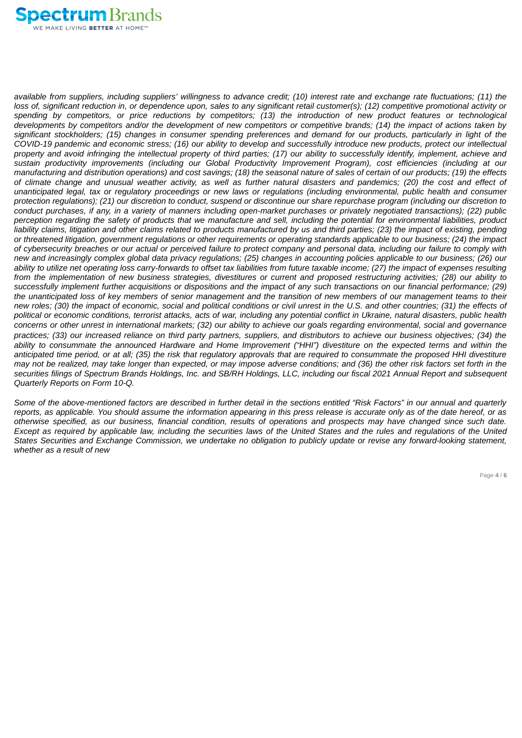

available from suppliers, including suppliers' willingness to advance credit; (10) interest rate and exchange rate fluctuations; (11) the loss of, significant reduction in, or dependence upon, sales to any significant retail customer(s); (12) competitive promotional activity or spending by competitors, or price reductions by competitors; (13) the introduction of new product features or technological developments by competitors and/or the development of new competitors or competitive brands; (14) the impact of actions taken by significant stockholders; (15) changes in consumer spending preferences and demand for our products, particularly in light of the COVID-19 pandemic and economic stress; (16) our ability to develop and successfully introduce new products, protect our intellectual property and avoid infringing the intellectual property of third parties; (17) our ability to successfully identify, implement, achieve and *sustain productivity improvements (including our Global Productivity Improvement Program), cost efficiencies (including at our* manufacturing and distribution operations) and cost savings; (18) the seasonal nature of sales of certain of our products; (19) the effects of climate change and unusual weather activity, as well as further natural disasters and pandemics; (20) the cost and effect of unanticipated legal, tax or regulatory proceedings or new laws or regulations (including environmental, public health and consumer protection regulations); (21) our discretion to conduct, suspend or discontinue our share repurchase program (including our discretion to conduct purchases, if any, in a variety of manners including open-market purchases or privately negotiated transactions); (22) public perception regarding the safety of products that we manufacture and sell, including the potential for environmental liabilities, product liability claims, litigation and other claims related to products manufactured by us and third parties; (23) the impact of existing, pending or threatened litigation, government regulations or other requirements or operating standards applicable to our business; (24) the impact of cybersecurity breaches or our actual or perceived failure to protect company and personal data, including our failure to comply with new and increasingly complex global data privacy regulations: (25) changes in accounting policies applicable to our business: (26) our ability to utilize net operating loss carry-forwards to offset tax liabilities from future taxable income; (27) the impact of expenses resulting from the implementation of new business strategies, divestitures or current and proposed restructuring activities; (28) our ability to successfully implement further acquisitions or dispositions and the impact of any such transactions on our financial performance; (29) the unanticipated loss of key members of senior management and the transition of new members of our management teams to their new roles; (30) the impact of economic, social and political conditions or civil unrest in the U.S. and other countries; (31) the effects of political or economic conditions, terrorist attacks, acts of war, including any potential conflict in Ukraine, natural disasters, public health concerns or other unrest in international markets; (32) our ability to achieve our goals regarding environmental, social and governance practices; (33) our increased reliance on third party partners, suppliers, and distributors to achieve our business objectives; (34) the ability to consummate the announced Hardware and Home Improvement ("HHI") divestiture on the expected terms and within the anticipated time period, or at all; (35) the risk that regulatory approvals that are reguired to consummate the proposed HHI divestiture may not be realized, may take longer than expected, or may impose adverse conditions; and (36) the other risk factors set forth in the securities filings of Spectrum Brands Holdings, Inc. and SB/RH Holdings, LLC, including our fiscal 2021 Annual Report and subsequent *Quarterly Reports on Form 10-Q.*

Some of the above-mentioned factors are described in further detail in the sections entitled "Risk Factors" in our annual and quarterly reports, as applicable. You should assume the information appearing in this press release is accurate only as of the date hereof, or as otherwise specified, as our business, financial condition, results of operations and prospects may have changed since such date. Except as required by applicable law, including the securities laws of the United States and the rules and requilations of the United States Securities and Exchange Commission, we undertake no obligation to publicly update or revise any forward-looking statement, *whether as a result of new*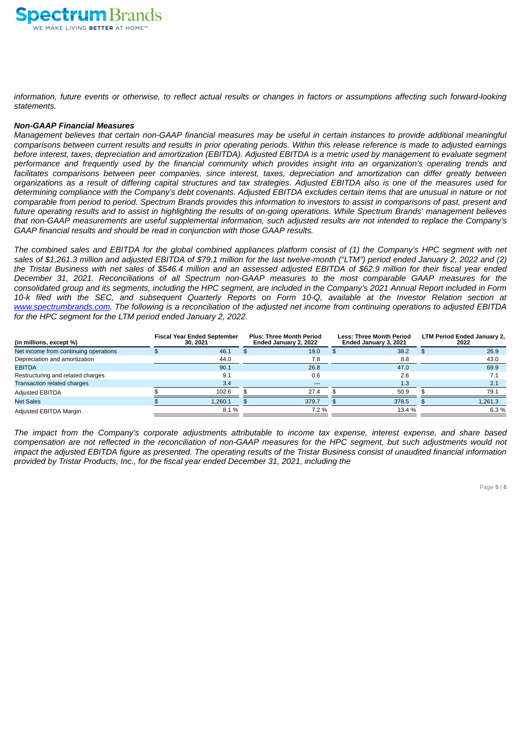

information, future events or otherwise, to reflect actual results or changes in factors or assumptions affecting such forward-looking *statements.*

### *Non-GAAP Financial Measures*

Management believes that certain non-GAAP financial measures may be useful in certain instances to provide additional meaningful comparisons between current results and results in prior operating periods. Within this release reference is made to adjusted earnings before interest, taxes, depreciation and amortization (EBITDA). Adjusted EBITDA is a metric used by management to evaluate segment performance and frequently used by the financial community which provides insight into an organization's operating trends and facilitates comparisons between peer companies, since interest, taxes, depreciation and amortization can differ greatly between organizations as a result of differing capital structures and tax strategies. Adjusted EBITDA also is one of the measures used for determining compliance with the Company's debt covenants. Adjusted EBITDA excludes certain items that are unusual in nature or not comparable from period to period. Spectrum Brands provides this information to investors to assist in comparisons of past, present and future operating results and to assist in highlighting the results of on-going operations. While Spectrum Brands' management believes that non-GAAP measurements are useful supplemental information, such adjusted results are not intended to replace the Company's *GAAP financial results and should be read in conjunction with those GAAP results.*

The combined sales and EBITDA for the global combined appliances platform consist of (1) the Company's HPC segment with net sales of \$1,261.3 million and adjusted EBITDA of \$79.1 million for the last twelve-month ("LTM") period ended January 2, 2022 and (2) the Tristar Business with net sales of \$546.4 million and an assessed adjusted EBITDA of \$62.9 million for their fiscal year ended December 31, 2021. Reconciliations of all Spectrum non-GAAP measures to the most comparable GAAP measures for the consolidated group and its segments, including the HPC segment, are included in the Company's 2021 Annual Report included in Form 10-k filed with the SEC, and subsequent Quarterly Reports on Form 10-Q, available at the Investor Relation section at www.spectrumbrands.com. The following is a reconciliation of the adjusted net income from continuing operations to adjusted EBITDA *for the HPC segment for the LTM period ended January 2, 2022.*

| (in millions, except %)               | <b>Fiscal Year Ended September</b><br>30, 2021 | <b>Plus: Three Month Period</b><br>Ended January 2, 2022 | <b>Less: Three Month Period</b><br>Ended January 3, 2021 | <b>LTM Period Ended January 2,</b><br>2022 |
|---------------------------------------|------------------------------------------------|----------------------------------------------------------|----------------------------------------------------------|--------------------------------------------|
| Net income from continuing operations | 46.1                                           | 19.0                                                     | 38.2                                                     | 26.9                                       |
| Depreciation and amortization         | 44.0                                           | 7.8                                                      | 8.8                                                      | 43.0                                       |
| <b>EBITDA</b>                         | 90.1                                           | 26.8                                                     | 47.0                                                     | 69.9                                       |
| Restructuring and related charges     | 9.1                                            | 0.6                                                      | 2.6                                                      |                                            |
| Transaction related charges           | 3.4                                            |                                                          | 1.3                                                      | 2.1                                        |
| <b>Adjusted EBITDA</b>                | 102.6                                          | 27.4                                                     | 50.9                                                     | 79.1                                       |
| <b>Net Sales</b>                      | 1,260.1                                        | 379.7                                                    | 378.5                                                    | 1,261.3                                    |
| Adjusted EBITDA Margin                | 8.1%                                           | 7.2 %                                                    | 13.4 %                                                   | 6.3%                                       |

The impact from the Company's corporate adjustments attributable to income tax expense, interest expense, and share based compensation are not reflected in the reconciliation of non-GAAP measures for the HPC segment, but such adjustments would not impact the adjusted EBITDA figure as presented. The operating results of the Tristar Business consist of unaudited financial information *provided by Tristar Products, Inc., for the fiscal year ended December 31, 2021, including the*

Page **5** / **6**